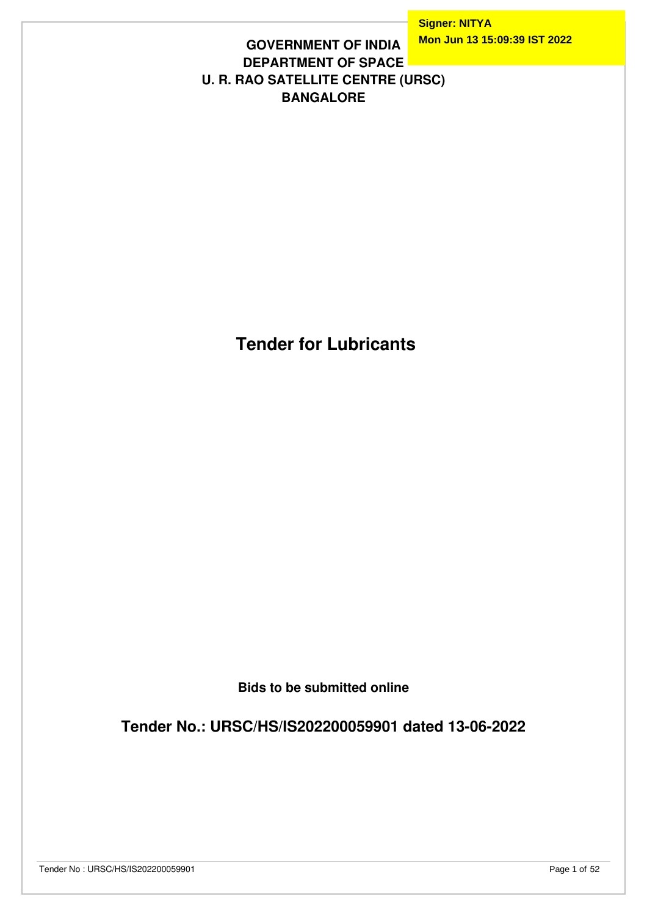### **GOVERNMENT OF INDIA DEPARTMENT OF SPACE U. R. RAO SATELLITE CENTRE (URSC) BANGALORE**

 **Tender for Lubricants**

**Bids to be submitted online**

**Tender No.: URSC/HS/IS202200059901 dated 13-06-2022**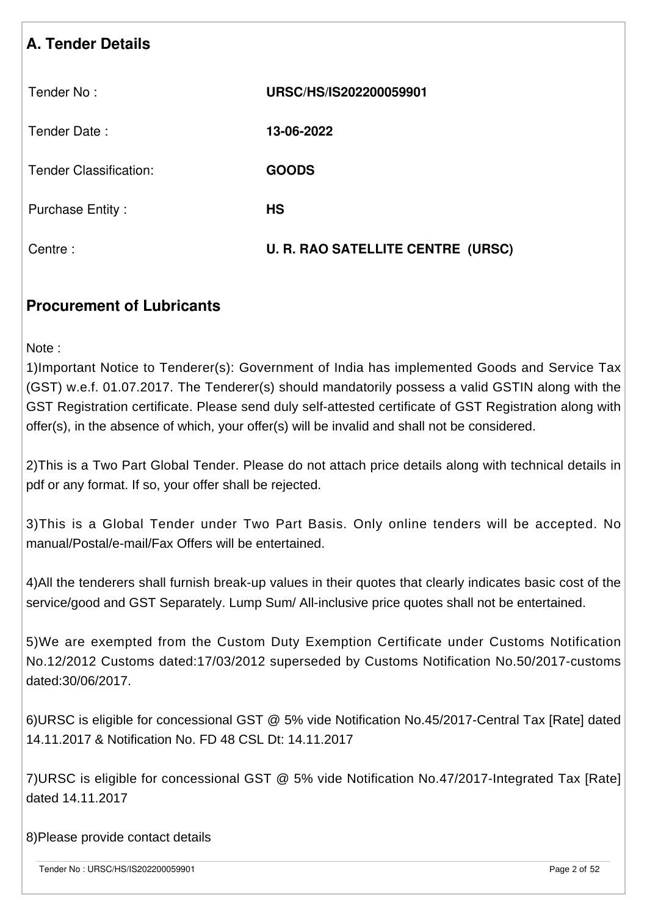| <b>A. Tender Details</b>      |                                          |
|-------------------------------|------------------------------------------|
| Tender No:                    | URSC/HS/IS202200059901                   |
| Tender Date:                  | 13-06-2022                               |
| <b>Tender Classification:</b> | <b>GOODS</b>                             |
| <b>Purchase Entity:</b>       | <b>HS</b>                                |
| Centre:                       | <b>U. R. RAO SATELLITE CENTRE (URSC)</b> |

# **Procurement of Lubricants**

Note :

1)Important Notice to Tenderer(s): Government of India has implemented Goods and Service Tax (GST) w.e.f. 01.07.2017. The Tenderer(s) should mandatorily possess a valid GSTIN along with the GST Registration certificate. Please send duly self-attested certificate of GST Registration along with offer(s), in the absence of which, your offer(s) will be invalid and shall not be considered.

2)This is a Two Part Global Tender. Please do not attach price details along with technical details in pdf or any format. If so, your offer shall be rejected.

3)This is a Global Tender under Two Part Basis. Only online tenders will be accepted. No manual/Postal/e-mail/Fax Offers will be entertained.

4)All the tenderers shall furnish break-up values in their quotes that clearly indicates basic cost of the service/good and GST Separately. Lump Sum/ All-inclusive price quotes shall not be entertained.

5)We are exempted from the Custom Duty Exemption Certificate under Customs Notification No.12/2012 Customs dated:17/03/2012 superseded by Customs Notification No.50/2017-customs dated:30/06/2017.

6)URSC is eligible for concessional GST @ 5% vide Notification No.45/2017-Central Tax [Rate] dated 14.11.2017 & Notification No. FD 48 CSL Dt: 14.11.2017

7)URSC is eligible for concessional GST @ 5% vide Notification No.47/2017-Integrated Tax [Rate] dated 14.11.2017

8)Please provide contact details

Tender No : URSC/HS/IS202200059901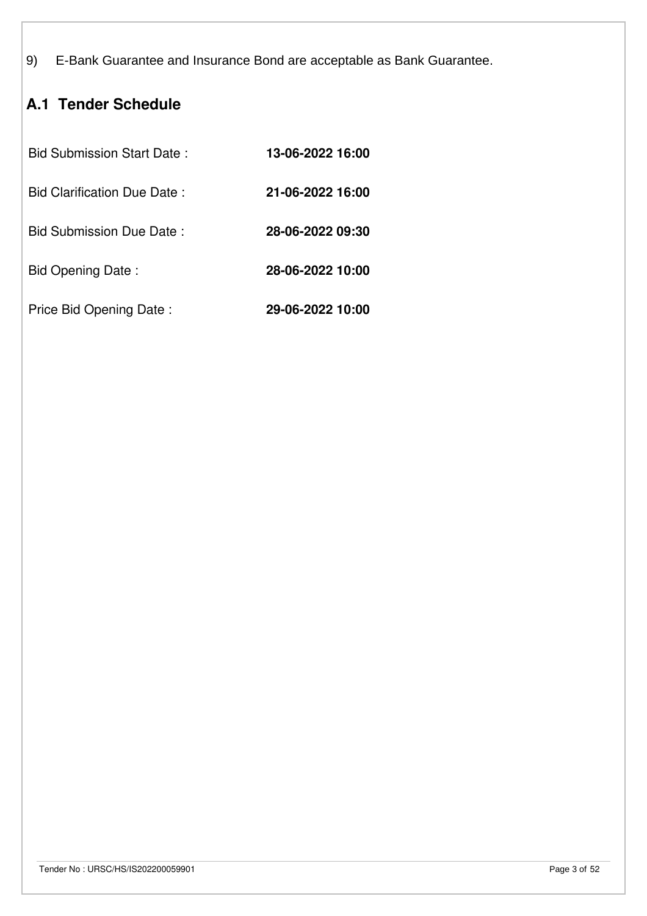9) E-Bank Guarantee and Insurance Bond are acceptable as Bank Guarantee.

# **A.1 Tender Schedule**

| <b>Bid Submission Start Date:</b> | 13-06-2022 16:00 |
|-----------------------------------|------------------|
| Bid Clarification Due Date:       | 21-06-2022 16:00 |
| Bid Submission Due Date:          | 28-06-2022 09:30 |
| Bid Opening Date:                 | 28-06-2022 10:00 |
| Price Bid Opening Date:           | 29-06-2022 10:00 |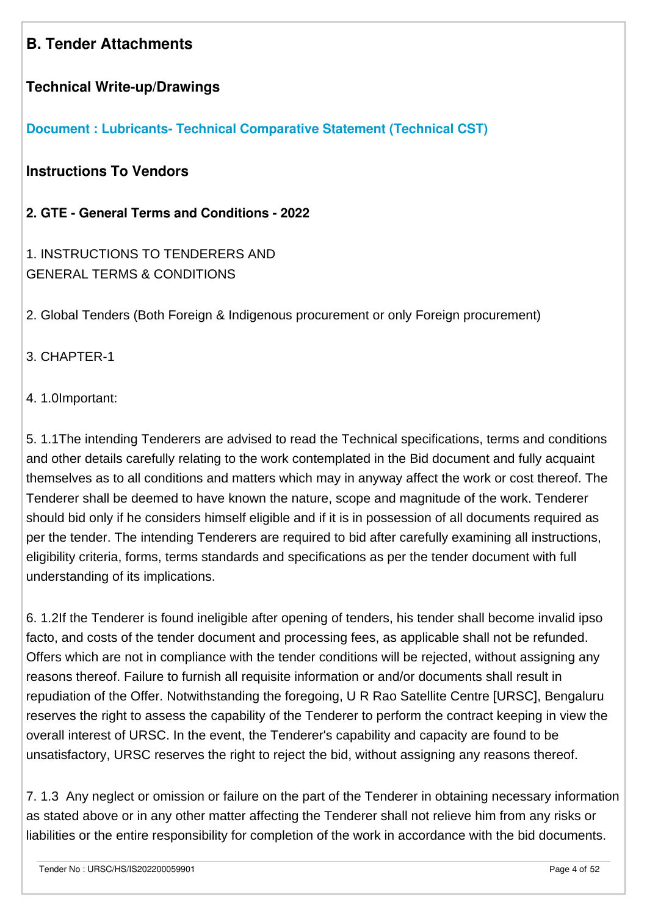# **B. Tender Attachments**

### **Technical Write-up/Drawings**

**[Document : Lubricants- Technical Comparative Statement \(Technical CST\)](https://eproc.isro.gov.in/common/viewDocument?id=ff8081817fd8e1f101804066ada14778&indentId=IS2022000599)**

**Instructions To Vendors**

**2. GTE - General Terms and Conditions - 2022**

1. INSTRUCTIONS TO TENDERERS AND GENERAL TERMS & CONDITIONS

2. Global Tenders (Both Foreign & Indigenous procurement or only Foreign procurement)

#### 3. CHAPTER-1

4. 1.0Important:

5. 1.1The intending Tenderers are advised to read the Technical specifications, terms and conditions and other details carefully relating to the work contemplated in the Bid document and fully acquaint themselves as to all conditions and matters which may in anyway affect the work or cost thereof. The Tenderer shall be deemed to have known the nature, scope and magnitude of the work. Tenderer should bid only if he considers himself eligible and if it is in possession of all documents required as per the tender. The intending Tenderers are required to bid after carefully examining all instructions, eligibility criteria, forms, terms standards and specifications as per the tender document with full understanding of its implications.

6. 1.2If the Tenderer is found ineligible after opening of tenders, his tender shall become invalid ipso facto, and costs of the tender document and processing fees, as applicable shall not be refunded. Offers which are not in compliance with the tender conditions will be rejected, without assigning any reasons thereof. Failure to furnish all requisite information or and/or documents shall result in repudiation of the Offer. Notwithstanding the foregoing, U R Rao Satellite Centre [URSC], Bengaluru reserves the right to assess the capability of the Tenderer to perform the contract keeping in view the overall interest of URSC. In the event, the Tenderer's capability and capacity are found to be unsatisfactory, URSC reserves the right to reject the bid, without assigning any reasons thereof.

7. 1.3 Any neglect or omission or failure on the part of the Tenderer in obtaining necessary information as stated above or in any other matter affecting the Tenderer shall not relieve him from any risks or liabilities or the entire responsibility for completion of the work in accordance with the bid documents.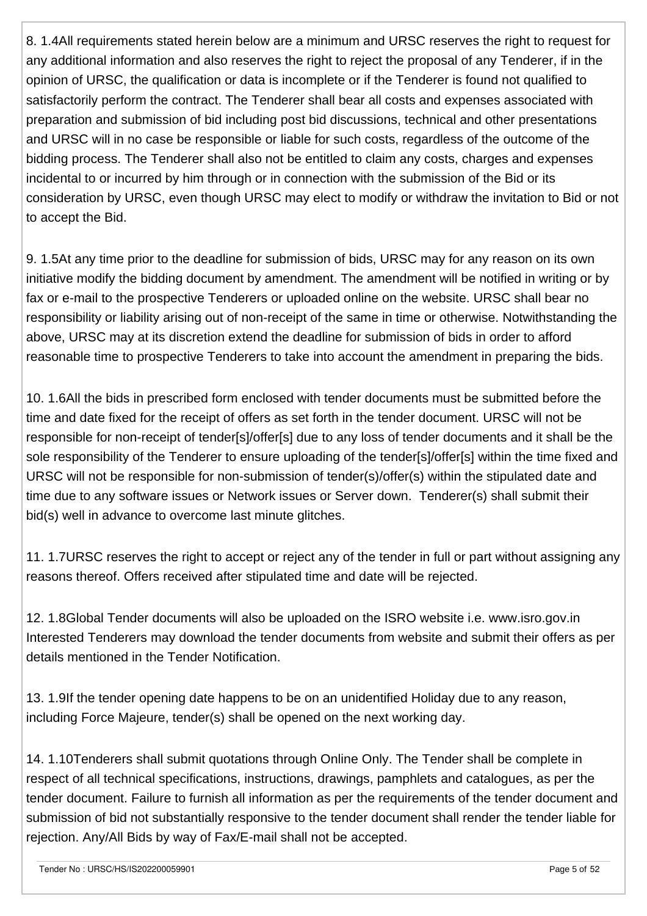8. 1.4All requirements stated herein below are a minimum and URSC reserves the right to request for any additional information and also reserves the right to reject the proposal of any Tenderer, if in the opinion of URSC, the qualification or data is incomplete or if the Tenderer is found not qualified to satisfactorily perform the contract. The Tenderer shall bear all costs and expenses associated with preparation and submission of bid including post bid discussions, technical and other presentations and URSC will in no case be responsible or liable for such costs, regardless of the outcome of the bidding process. The Tenderer shall also not be entitled to claim any costs, charges and expenses incidental to or incurred by him through or in connection with the submission of the Bid or its consideration by URSC, even though URSC may elect to modify or withdraw the invitation to Bid or not to accept the Bid.

9. 1.5At any time prior to the deadline for submission of bids, URSC may for any reason on its own initiative modify the bidding document by amendment. The amendment will be notified in writing or by fax or e-mail to the prospective Tenderers or uploaded online on the website. URSC shall bear no responsibility or liability arising out of non-receipt of the same in time or otherwise. Notwithstanding the above, URSC may at its discretion extend the deadline for submission of bids in order to afford reasonable time to prospective Tenderers to take into account the amendment in preparing the bids.

10. 1.6All the bids in prescribed form enclosed with tender documents must be submitted before the time and date fixed for the receipt of offers as set forth in the tender document. URSC will not be responsible for non-receipt of tender[s]/offer[s] due to any loss of tender documents and it shall be the sole responsibility of the Tenderer to ensure uploading of the tender[s]/offer[s] within the time fixed and URSC will not be responsible for non-submission of tender(s)/offer(s) within the stipulated date and time due to any software issues or Network issues or Server down. Tenderer(s) shall submit their bid(s) well in advance to overcome last minute glitches.

11. 1.7URSC reserves the right to accept or reject any of the tender in full or part without assigning any reasons thereof. Offers received after stipulated time and date will be rejected.

12. 1.8Global Tender documents will also be uploaded on the ISRO website i.e. www.isro.gov.in Interested Tenderers may download the tender documents from website and submit their offers as per details mentioned in the Tender Notification.

13. 1.9If the tender opening date happens to be on an unidentified Holiday due to any reason, including Force Majeure, tender(s) shall be opened on the next working day.

14. 1.10Tenderers shall submit quotations through Online Only. The Tender shall be complete in respect of all technical specifications, instructions, drawings, pamphlets and catalogues, as per the tender document. Failure to furnish all information as per the requirements of the tender document and submission of bid not substantially responsive to the tender document shall render the tender liable for rejection. Any/All Bids by way of Fax/E-mail shall not be accepted.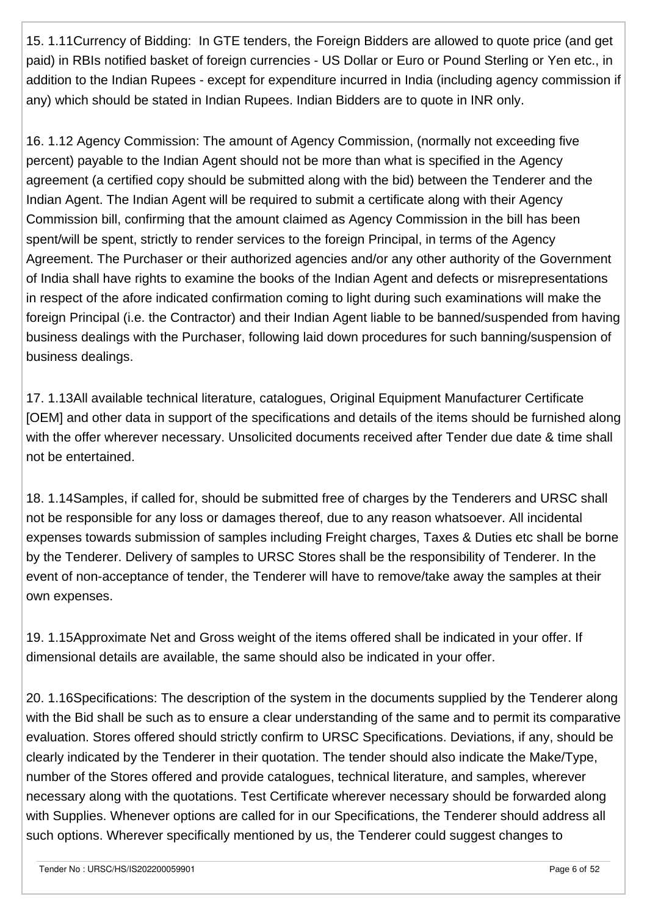15. 1.11Currency of Bidding: In GTE tenders, the Foreign Bidders are allowed to quote price (and get paid) in RBIs notified basket of foreign currencies - US Dollar or Euro or Pound Sterling or Yen etc., in addition to the Indian Rupees - except for expenditure incurred in India (including agency commission if any) which should be stated in Indian Rupees. Indian Bidders are to quote in INR only.

16. 1.12 Agency Commission: The amount of Agency Commission, (normally not exceeding five percent) payable to the Indian Agent should not be more than what is specified in the Agency agreement (a certified copy should be submitted along with the bid) between the Tenderer and the Indian Agent. The Indian Agent will be required to submit a certificate along with their Agency Commission bill, confirming that the amount claimed as Agency Commission in the bill has been spent/will be spent, strictly to render services to the foreign Principal, in terms of the Agency Agreement. The Purchaser or their authorized agencies and/or any other authority of the Government of India shall have rights to examine the books of the Indian Agent and defects or misrepresentations in respect of the afore indicated confirmation coming to light during such examinations will make the foreign Principal (i.e. the Contractor) and their Indian Agent liable to be banned/suspended from having business dealings with the Purchaser, following laid down procedures for such banning/suspension of business dealings.

17. 1.13All available technical literature, catalogues, Original Equipment Manufacturer Certificate [OEM] and other data in support of the specifications and details of the items should be furnished along with the offer wherever necessary. Unsolicited documents received after Tender due date & time shall not be entertained.

18. 1.14Samples, if called for, should be submitted free of charges by the Tenderers and URSC shall not be responsible for any loss or damages thereof, due to any reason whatsoever. All incidental expenses towards submission of samples including Freight charges, Taxes & Duties etc shall be borne by the Tenderer. Delivery of samples to URSC Stores shall be the responsibility of Tenderer. In the event of non-acceptance of tender, the Tenderer will have to remove/take away the samples at their own expenses.

19. 1.15Approximate Net and Gross weight of the items offered shall be indicated in your offer. If dimensional details are available, the same should also be indicated in your offer.

20. 1.16Specifications: The description of the system in the documents supplied by the Tenderer along with the Bid shall be such as to ensure a clear understanding of the same and to permit its comparative evaluation. Stores offered should strictly confirm to URSC Specifications. Deviations, if any, should be clearly indicated by the Tenderer in their quotation. The tender should also indicate the Make/Type, number of the Stores offered and provide catalogues, technical literature, and samples, wherever necessary along with the quotations. Test Certificate wherever necessary should be forwarded along with Supplies. Whenever options are called for in our Specifications, the Tenderer should address all such options. Wherever specifically mentioned by us, the Tenderer could suggest changes to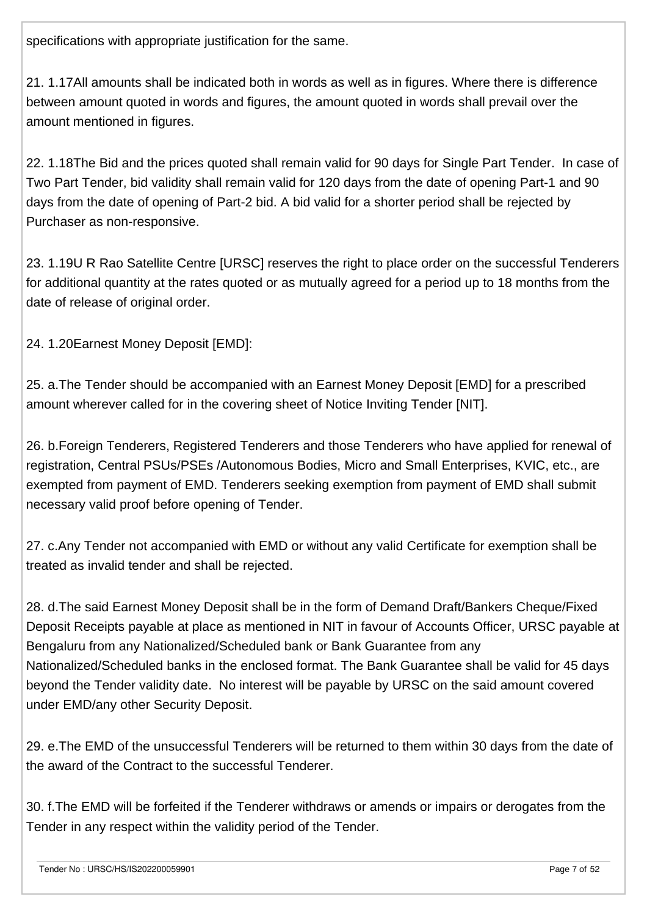specifications with appropriate justification for the same.

21. 1.17All amounts shall be indicated both in words as well as in figures. Where there is difference between amount quoted in words and figures, the amount quoted in words shall prevail over the amount mentioned in figures.

22. 1.18The Bid and the prices quoted shall remain valid for 90 days for Single Part Tender. In case of Two Part Tender, bid validity shall remain valid for 120 days from the date of opening Part-1 and 90 days from the date of opening of Part-2 bid. A bid valid for a shorter period shall be rejected by Purchaser as non-responsive.

23. 1.19U R Rao Satellite Centre [URSC] reserves the right to place order on the successful Tenderers for additional quantity at the rates quoted or as mutually agreed for a period up to 18 months from the date of release of original order.

24. 1.20Earnest Money Deposit [EMD]:

25. a.The Tender should be accompanied with an Earnest Money Deposit [EMD] for a prescribed amount wherever called for in the covering sheet of Notice Inviting Tender [NIT].

26. b.Foreign Tenderers, Registered Tenderers and those Tenderers who have applied for renewal of registration, Central PSUs/PSEs /Autonomous Bodies, Micro and Small Enterprises, KVIC, etc., are exempted from payment of EMD. Tenderers seeking exemption from payment of EMD shall submit necessary valid proof before opening of Tender.

27. c.Any Tender not accompanied with EMD or without any valid Certificate for exemption shall be treated as invalid tender and shall be rejected.

28. d.The said Earnest Money Deposit shall be in the form of Demand Draft/Bankers Cheque/Fixed Deposit Receipts payable at place as mentioned in NIT in favour of Accounts Officer, URSC payable at Bengaluru from any Nationalized/Scheduled bank or Bank Guarantee from any Nationalized/Scheduled banks in the enclosed format. The Bank Guarantee shall be valid for 45 days beyond the Tender validity date. No interest will be payable by URSC on the said amount covered under EMD/any other Security Deposit.

29. e.The EMD of the unsuccessful Tenderers will be returned to them within 30 days from the date of the award of the Contract to the successful Tenderer.

30. f.The EMD will be forfeited if the Tenderer withdraws or amends or impairs or derogates from the Tender in any respect within the validity period of the Tender.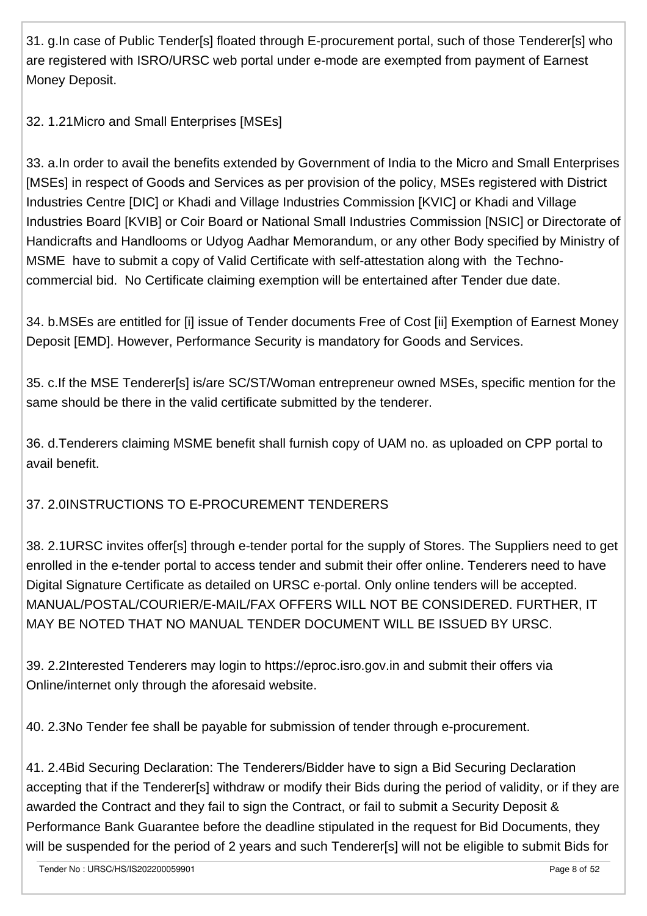31. g.In case of Public Tender[s] floated through E-procurement portal, such of those Tenderer[s] who are registered with ISRO/URSC web portal under e-mode are exempted from payment of Earnest Money Deposit.

32. 1.21Micro and Small Enterprises [MSEs]

33. a.In order to avail the benefits extended by Government of India to the Micro and Small Enterprises [MSEs] in respect of Goods and Services as per provision of the policy, MSEs registered with District Industries Centre [DIC] or Khadi and Village Industries Commission [KVIC] or Khadi and Village Industries Board [KVIB] or Coir Board or National Small Industries Commission [NSIC] or Directorate of Handicrafts and Handlooms or Udyog Aadhar Memorandum, or any other Body specified by Ministry of MSME have to submit a copy of Valid Certificate with self-attestation along with the Technocommercial bid. No Certificate claiming exemption will be entertained after Tender due date.

34. b.MSEs are entitled for [i] issue of Tender documents Free of Cost [ii] Exemption of Earnest Money Deposit [EMD]. However, Performance Security is mandatory for Goods and Services.

35. c.If the MSE Tenderer[s] is/are SC/ST/Woman entrepreneur owned MSEs, specific mention for the same should be there in the valid certificate submitted by the tenderer.

36. d.Tenderers claiming MSME benefit shall furnish copy of UAM no. as uploaded on CPP portal to avail benefit.

# 37. 2.0INSTRUCTIONS TO E-PROCUREMENT TENDERERS

38. 2.1URSC invites offer[s] through e-tender portal for the supply of Stores. The Suppliers need to get enrolled in the e-tender portal to access tender and submit their offer online. Tenderers need to have Digital Signature Certificate as detailed on URSC e-portal. Only online tenders will be accepted. MANUAL/POSTAL/COURIER/E-MAIL/FAX OFFERS WILL NOT BE CONSIDERED. FURTHER, IT MAY BE NOTED THAT NO MANUAL TENDER DOCUMENT WILL BE ISSUED BY URSC.

39. 2.2Interested Tenderers may login to https://eproc.isro.gov.in and submit their offers via Online/internet only through the aforesaid website.

40. 2.3No Tender fee shall be payable for submission of tender through e-procurement.

41. 2.4Bid Securing Declaration: The Tenderers/Bidder have to sign a Bid Securing Declaration accepting that if the Tenderer[s] withdraw or modify their Bids during the period of validity, or if they are awarded the Contract and they fail to sign the Contract, or fail to submit a Security Deposit & Performance Bank Guarantee before the deadline stipulated in the request for Bid Documents, they will be suspended for the period of 2 years and such Tenderer[s] will not be eligible to submit Bids for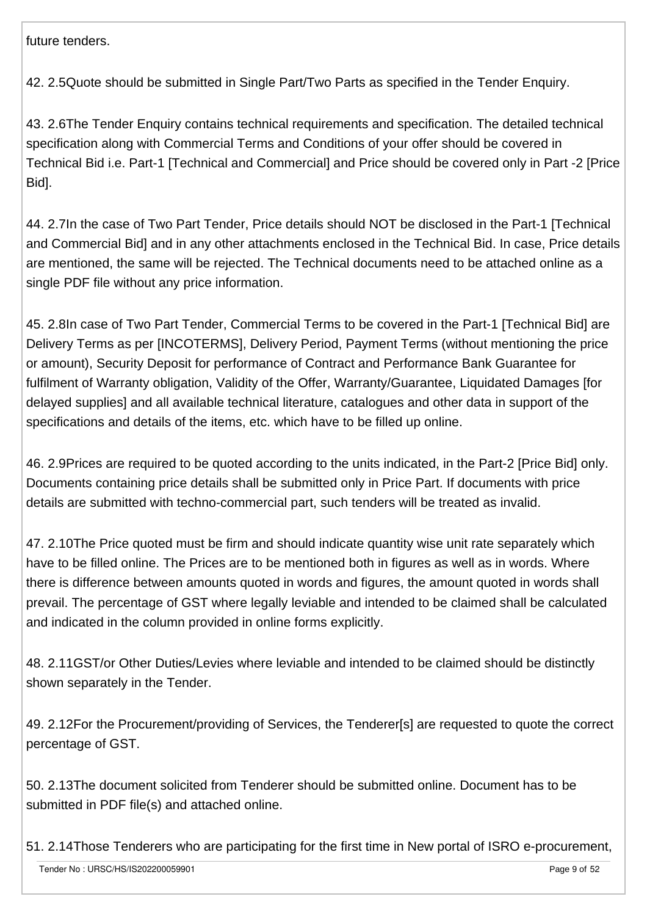future tenders.

42. 2.5Quote should be submitted in Single Part/Two Parts as specified in the Tender Enquiry.

43. 2.6The Tender Enquiry contains technical requirements and specification. The detailed technical specification along with Commercial Terms and Conditions of your offer should be covered in Technical Bid i.e. Part-1 [Technical and Commercial] and Price should be covered only in Part -2 [Price Bid].

44. 2.7In the case of Two Part Tender, Price details should NOT be disclosed in the Part-1 [Technical and Commercial Bid] and in any other attachments enclosed in the Technical Bid. In case, Price details are mentioned, the same will be rejected. The Technical documents need to be attached online as a single PDF file without any price information.

45. 2.8In case of Two Part Tender, Commercial Terms to be covered in the Part-1 [Technical Bid] are Delivery Terms as per [INCOTERMS], Delivery Period, Payment Terms (without mentioning the price or amount), Security Deposit for performance of Contract and Performance Bank Guarantee for fulfilment of Warranty obligation, Validity of the Offer, Warranty/Guarantee, Liquidated Damages [for delayed supplies] and all available technical literature, catalogues and other data in support of the specifications and details of the items, etc. which have to be filled up online.

46. 2.9Prices are required to be quoted according to the units indicated, in the Part-2 [Price Bid] only. Documents containing price details shall be submitted only in Price Part. If documents with price details are submitted with techno-commercial part, such tenders will be treated as invalid.

47. 2.10The Price quoted must be firm and should indicate quantity wise unit rate separately which have to be filled online. The Prices are to be mentioned both in figures as well as in words. Where there is difference between amounts quoted in words and figures, the amount quoted in words shall prevail. The percentage of GST where legally leviable and intended to be claimed shall be calculated and indicated in the column provided in online forms explicitly.

48. 2.11GST/or Other Duties/Levies where leviable and intended to be claimed should be distinctly shown separately in the Tender.

49. 2.12For the Procurement/providing of Services, the Tenderer[s] are requested to quote the correct percentage of GST.

50. 2.13The document solicited from Tenderer should be submitted online. Document has to be submitted in PDF file(s) and attached online.

51. 2.14Those Tenderers who are participating for the first time in New portal of ISRO e-procurement,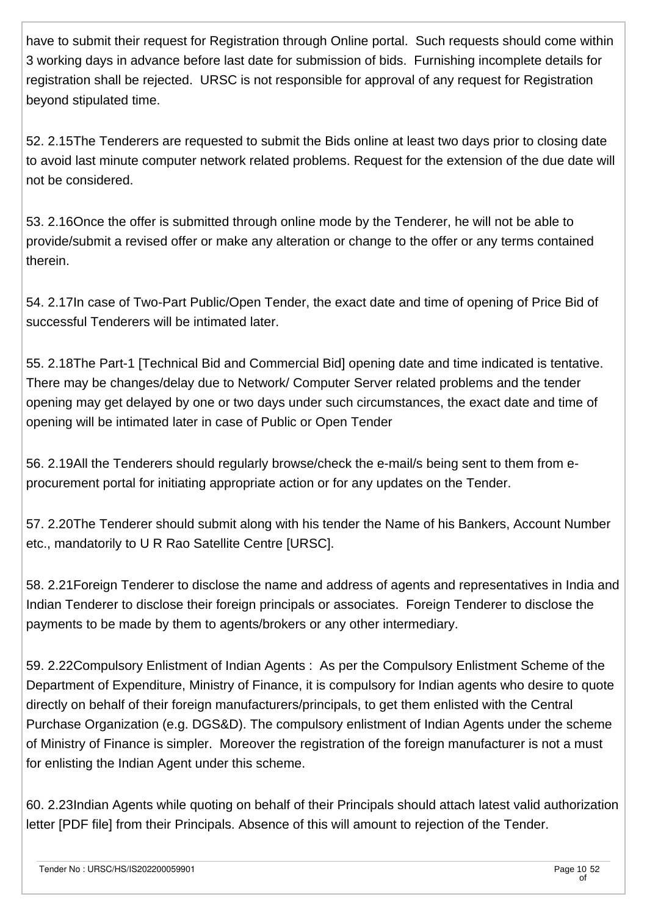have to submit their request for Registration through Online portal. Such requests should come within 3 working days in advance before last date for submission of bids. Furnishing incomplete details for registration shall be rejected. URSC is not responsible for approval of any request for Registration beyond stipulated time.

52. 2.15The Tenderers are requested to submit the Bids online at least two days prior to closing date to avoid last minute computer network related problems. Request for the extension of the due date will not be considered.

53. 2.16Once the offer is submitted through online mode by the Tenderer, he will not be able to provide/submit a revised offer or make any alteration or change to the offer or any terms contained therein.

54. 2.17In case of Two-Part Public/Open Tender, the exact date and time of opening of Price Bid of successful Tenderers will be intimated later.

55. 2.18The Part-1 [Technical Bid and Commercial Bid] opening date and time indicated is tentative. There may be changes/delay due to Network/ Computer Server related problems and the tender opening may get delayed by one or two days under such circumstances, the exact date and time of opening will be intimated later in case of Public or Open Tender

56. 2.19All the Tenderers should regularly browse/check the e-mail/s being sent to them from eprocurement portal for initiating appropriate action or for any updates on the Tender.

57. 2.20The Tenderer should submit along with his tender the Name of his Bankers, Account Number etc., mandatorily to U R Rao Satellite Centre [URSC].

58. 2.21Foreign Tenderer to disclose the name and address of agents and representatives in India and Indian Tenderer to disclose their foreign principals or associates. Foreign Tenderer to disclose the payments to be made by them to agents/brokers or any other intermediary.

59. 2.22Compulsory Enlistment of Indian Agents : As per the Compulsory Enlistment Scheme of the Department of Expenditure, Ministry of Finance, it is compulsory for Indian agents who desire to quote directly on behalf of their foreign manufacturers/principals, to get them enlisted with the Central Purchase Organization (e.g. DGS&D). The compulsory enlistment of Indian Agents under the scheme of Ministry of Finance is simpler. Moreover the registration of the foreign manufacturer is not a must for enlisting the Indian Agent under this scheme.

60. 2.23Indian Agents while quoting on behalf of their Principals should attach latest valid authorization letter [PDF file] from their Principals. Absence of this will amount to rejection of the Tender.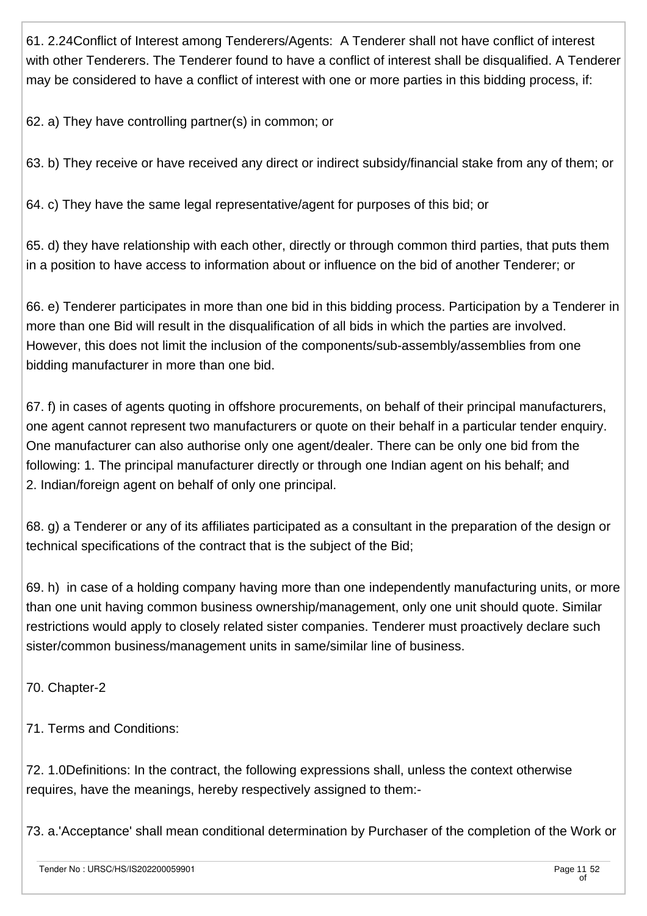61. 2.24Conflict of Interest among Tenderers/Agents: A Tenderer shall not have conflict of interest with other Tenderers. The Tenderer found to have a conflict of interest shall be disqualified. A Tenderer may be considered to have a conflict of interest with one or more parties in this bidding process, if:

62. a) They have controlling partner(s) in common; or

63. b) They receive or have received any direct or indirect subsidy/financial stake from any of them; or

64. c) They have the same legal representative/agent for purposes of this bid; or

65. d) they have relationship with each other, directly or through common third parties, that puts them in a position to have access to information about or influence on the bid of another Tenderer; or

66. e) Tenderer participates in more than one bid in this bidding process. Participation by a Tenderer in more than one Bid will result in the disqualification of all bids in which the parties are involved. However, this does not limit the inclusion of the components/sub-assembly/assemblies from one bidding manufacturer in more than one bid.

67. f) in cases of agents quoting in offshore procurements, on behalf of their principal manufacturers, one agent cannot represent two manufacturers or quote on their behalf in a particular tender enquiry. One manufacturer can also authorise only one agent/dealer. There can be only one bid from the following: 1. The principal manufacturer directly or through one Indian agent on his behalf; and 2. Indian/foreign agent on behalf of only one principal.

68. g) a Tenderer or any of its affiliates participated as a consultant in the preparation of the design or technical specifications of the contract that is the subject of the Bid;

69. h) in case of a holding company having more than one independently manufacturing units, or more than one unit having common business ownership/management, only one unit should quote. Similar restrictions would apply to closely related sister companies. Tenderer must proactively declare such sister/common business/management units in same/similar line of business.

70. Chapter-2

71. Terms and Conditions:

72. 1.0Definitions: In the contract, the following expressions shall, unless the context otherwise requires, have the meanings, hereby respectively assigned to them:-

73. a.'Acceptance' shall mean conditional determination by Purchaser of the completion of the Work or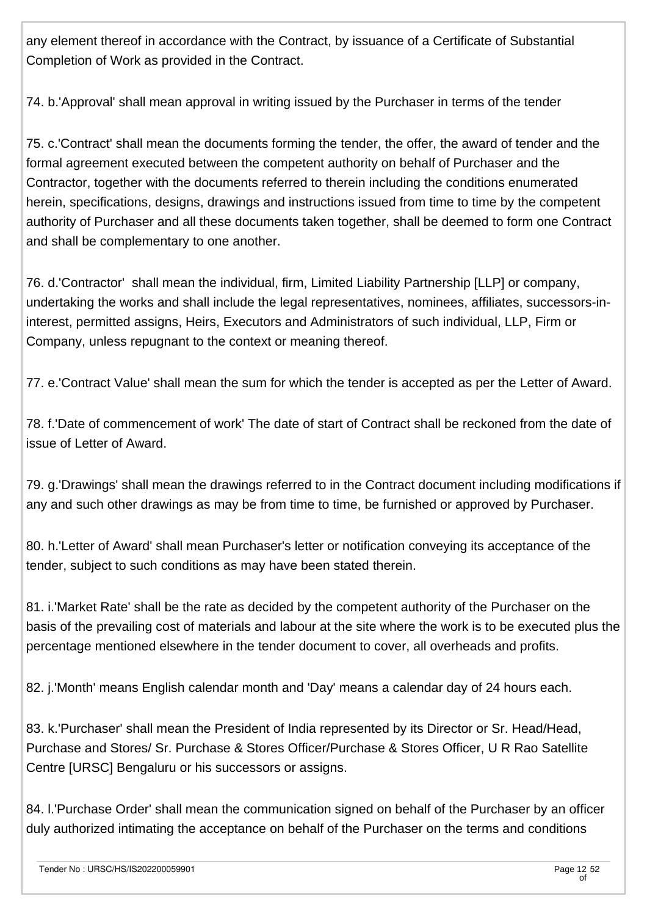any element thereof in accordance with the Contract, by issuance of a Certificate of Substantial Completion of Work as provided in the Contract.

74. b.'Approval' shall mean approval in writing issued by the Purchaser in terms of the tender

75. c.'Contract' shall mean the documents forming the tender, the offer, the award of tender and the formal agreement executed between the competent authority on behalf of Purchaser and the Contractor, together with the documents referred to therein including the conditions enumerated herein, specifications, designs, drawings and instructions issued from time to time by the competent authority of Purchaser and all these documents taken together, shall be deemed to form one Contract and shall be complementary to one another.

76. d.'Contractor' shall mean the individual, firm, Limited Liability Partnership [LLP] or company, undertaking the works and shall include the legal representatives, nominees, affiliates, successors-ininterest, permitted assigns, Heirs, Executors and Administrators of such individual, LLP, Firm or Company, unless repugnant to the context or meaning thereof.

77. e.'Contract Value' shall mean the sum for which the tender is accepted as per the Letter of Award.

78. f.'Date of commencement of work' The date of start of Contract shall be reckoned from the date of issue of Letter of Award.

79. g.'Drawings' shall mean the drawings referred to in the Contract document including modifications if any and such other drawings as may be from time to time, be furnished or approved by Purchaser.

80. h.'Letter of Award' shall mean Purchaser's letter or notification conveying its acceptance of the tender, subject to such conditions as may have been stated therein.

81. i.'Market Rate' shall be the rate as decided by the competent authority of the Purchaser on the basis of the prevailing cost of materials and labour at the site where the work is to be executed plus the percentage mentioned elsewhere in the tender document to cover, all overheads and profits.

82. j.'Month' means English calendar month and 'Day' means a calendar day of 24 hours each.

83. k.'Purchaser' shall mean the President of India represented by its Director or Sr. Head/Head, Purchase and Stores/ Sr. Purchase & Stores Officer/Purchase & Stores Officer, U R Rao Satellite Centre [URSC] Bengaluru or his successors or assigns.

84. l.'Purchase Order' shall mean the communication signed on behalf of the Purchaser by an officer duly authorized intimating the acceptance on behalf of the Purchaser on the terms and conditions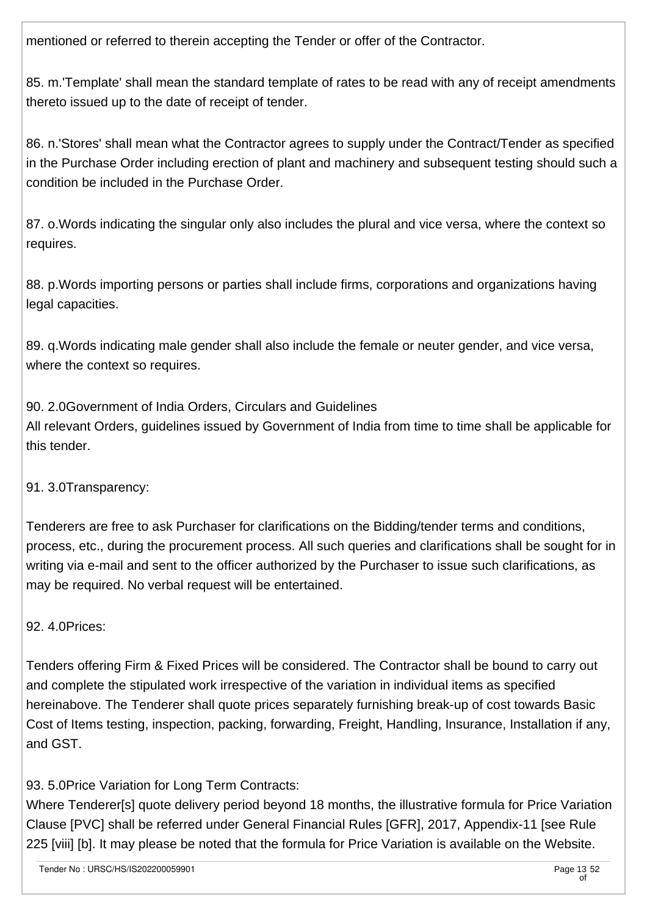mentioned or referred to therein accepting the Tender or offer of the Contractor.

85. m.'Template' shall mean the standard template of rates to be read with any of receipt amendments thereto issued up to the date of receipt of tender.

86. n.'Stores' shall mean what the Contractor agrees to supply under the Contract/Tender as specified in the Purchase Order including erection of plant and machinery and subsequent testing should such a condition be included in the Purchase Order.

87. o.Words indicating the singular only also includes the plural and vice versa, where the context so requires.

88. p.Words importing persons or parties shall include firms, corporations and organizations having legal capacities.

89. q.Words indicating male gender shall also include the female or neuter gender, and vice versa, where the context so requires.

90. 2.0Government of India Orders, Circulars and Guidelines All relevant Orders, guidelines issued by Government of India from time to time shall be applicable for this tender.

91. 3.0Transparency:

Tenderers are free to ask Purchaser for clarifications on the Bidding/tender terms and conditions, process, etc., during the procurement process. All such queries and clarifications shall be sought for in writing via e-mail and sent to the officer authorized by the Purchaser to issue such clarifications, as may be required. No verbal request will be entertained.

92. 4.0Prices:

Tenders offering Firm & Fixed Prices will be considered. The Contractor shall be bound to carry out and complete the stipulated work irrespective of the variation in individual items as specified hereinabove. The Tenderer shall quote prices separately furnishing break-up of cost towards Basic Cost of Items testing, inspection, packing, forwarding, Freight, Handling, Insurance, Installation if any, and GST.

93. 5.0Price Variation for Long Term Contracts:

Where Tenderer[s] quote delivery period beyond 18 months, the illustrative formula for Price Variation Clause [PVC] shall be referred under General Financial Rules [GFR], 2017, Appendix-11 [see Rule 225 [viii] [b]. It may please be noted that the formula for Price Variation is available on the Website.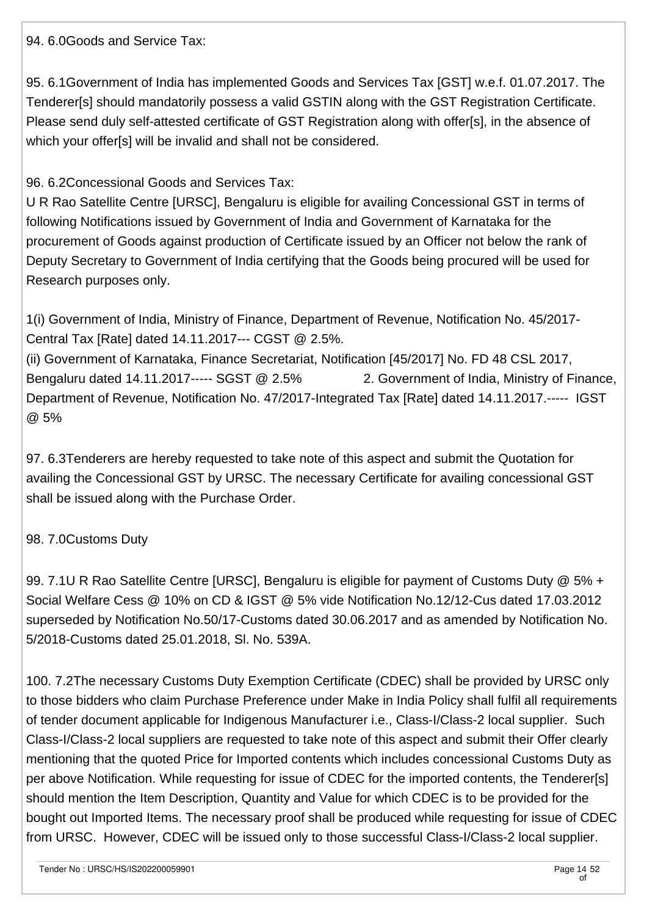94. 6.0Goods and Service Tax:

95. 6.1Government of India has implemented Goods and Services Tax [GST] w.e.f. 01.07.2017. The Tenderer[s] should mandatorily possess a valid GSTIN along with the GST Registration Certificate. Please send duly self-attested certificate of GST Registration along with offer[s], in the absence of which your offer[s] will be invalid and shall not be considered.

96. 6.2Concessional Goods and Services Tax:

U R Rao Satellite Centre [URSC], Bengaluru is eligible for availing Concessional GST in terms of following Notifications issued by Government of India and Government of Karnataka for the procurement of Goods against production of Certificate issued by an Officer not below the rank of Deputy Secretary to Government of India certifying that the Goods being procured will be used for Research purposes only.

1(i) Government of India, Ministry of Finance, Department of Revenue, Notification No. 45/2017- Central Tax [Rate] dated 14.11.2017--- CGST @ 2.5%.

(ii) Government of Karnataka, Finance Secretariat, Notification [45/2017] No. FD 48 CSL 2017, Bengaluru dated 14.11.2017----- SGST @ 2.5% 2. Government of India, Ministry of Finance, Department of Revenue, Notification No. 47/2017-Integrated Tax [Rate] dated 14.11.2017.----- IGST @ 5%

97. 6.3Tenderers are hereby requested to take note of this aspect and submit the Quotation for availing the Concessional GST by URSC. The necessary Certificate for availing concessional GST shall be issued along with the Purchase Order.

### 98. 7.0Customs Duty

99. 7.1U R Rao Satellite Centre [URSC], Bengaluru is eligible for payment of Customs Duty @ 5% + Social Welfare Cess @ 10% on CD & IGST @ 5% vide Notification No.12/12-Cus dated 17.03.2012 superseded by Notification No.50/17-Customs dated 30.06.2017 and as amended by Notification No. 5/2018-Customs dated 25.01.2018, Sl. No. 539A.

100. 7.2The necessary Customs Duty Exemption Certificate (CDEC) shall be provided by URSC only to those bidders who claim Purchase Preference under Make in India Policy shall fulfil all requirements of tender document applicable for Indigenous Manufacturer i.e., Class-I/Class-2 local supplier. Such Class-I/Class-2 local suppliers are requested to take note of this aspect and submit their Offer clearly mentioning that the quoted Price for Imported contents which includes concessional Customs Duty as per above Notification. While requesting for issue of CDEC for the imported contents, the Tenderer[s] should mention the Item Description, Quantity and Value for which CDEC is to be provided for the bought out Imported Items. The necessary proof shall be produced while requesting for issue of CDEC from URSC. However, CDEC will be issued only to those successful Class-I/Class-2 local supplier.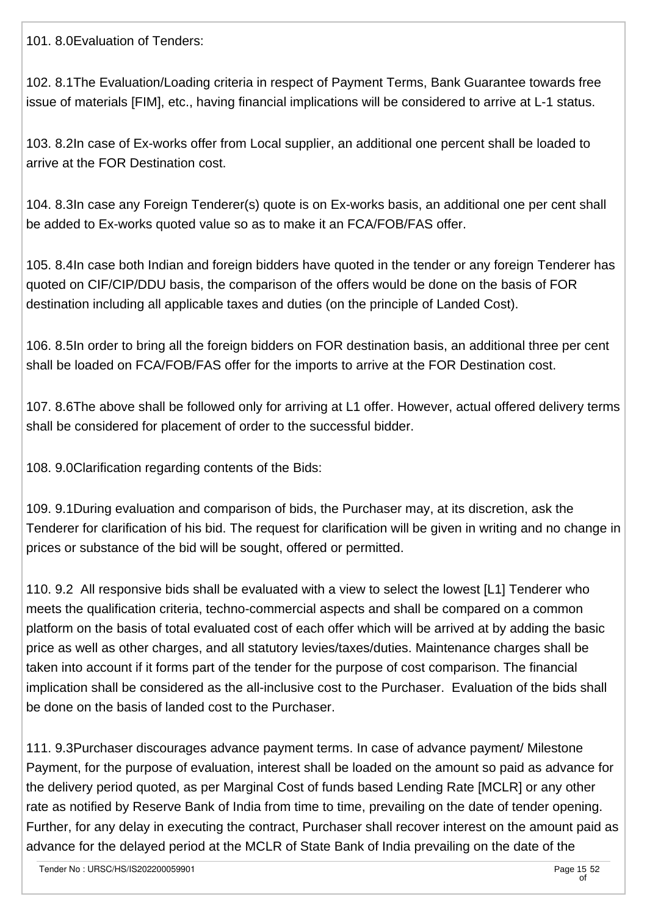101. 8.0Evaluation of Tenders:

102. 8.1The Evaluation/Loading criteria in respect of Payment Terms, Bank Guarantee towards free issue of materials [FIM], etc., having financial implications will be considered to arrive at L-1 status.

103. 8.2In case of Ex-works offer from Local supplier, an additional one percent shall be loaded to arrive at the FOR Destination cost.

104. 8.3In case any Foreign Tenderer(s) quote is on Ex-works basis, an additional one per cent shall be added to Ex-works quoted value so as to make it an FCA/FOB/FAS offer.

105. 8.4In case both Indian and foreign bidders have quoted in the tender or any foreign Tenderer has quoted on CIF/CIP/DDU basis, the comparison of the offers would be done on the basis of FOR destination including all applicable taxes and duties (on the principle of Landed Cost).

106. 8.5In order to bring all the foreign bidders on FOR destination basis, an additional three per cent shall be loaded on FCA/FOB/FAS offer for the imports to arrive at the FOR Destination cost.

107. 8.6The above shall be followed only for arriving at L1 offer. However, actual offered delivery terms shall be considered for placement of order to the successful bidder.

108. 9.0Clarification regarding contents of the Bids:

109. 9.1During evaluation and comparison of bids, the Purchaser may, at its discretion, ask the Tenderer for clarification of his bid. The request for clarification will be given in writing and no change in prices or substance of the bid will be sought, offered or permitted.

110. 9.2 All responsive bids shall be evaluated with a view to select the lowest [L1] Tenderer who meets the qualification criteria, techno-commercial aspects and shall be compared on a common platform on the basis of total evaluated cost of each offer which will be arrived at by adding the basic price as well as other charges, and all statutory levies/taxes/duties. Maintenance charges shall be taken into account if it forms part of the tender for the purpose of cost comparison. The financial implication shall be considered as the all-inclusive cost to the Purchaser. Evaluation of the bids shall be done on the basis of landed cost to the Purchaser.

111. 9.3Purchaser discourages advance payment terms. In case of advance payment/ Milestone Payment, for the purpose of evaluation, interest shall be loaded on the amount so paid as advance for the delivery period quoted, as per Marginal Cost of funds based Lending Rate [MCLR] or any other rate as notified by Reserve Bank of India from time to time, prevailing on the date of tender opening. Further, for any delay in executing the contract, Purchaser shall recover interest on the amount paid as advance for the delayed period at the MCLR of State Bank of India prevailing on the date of the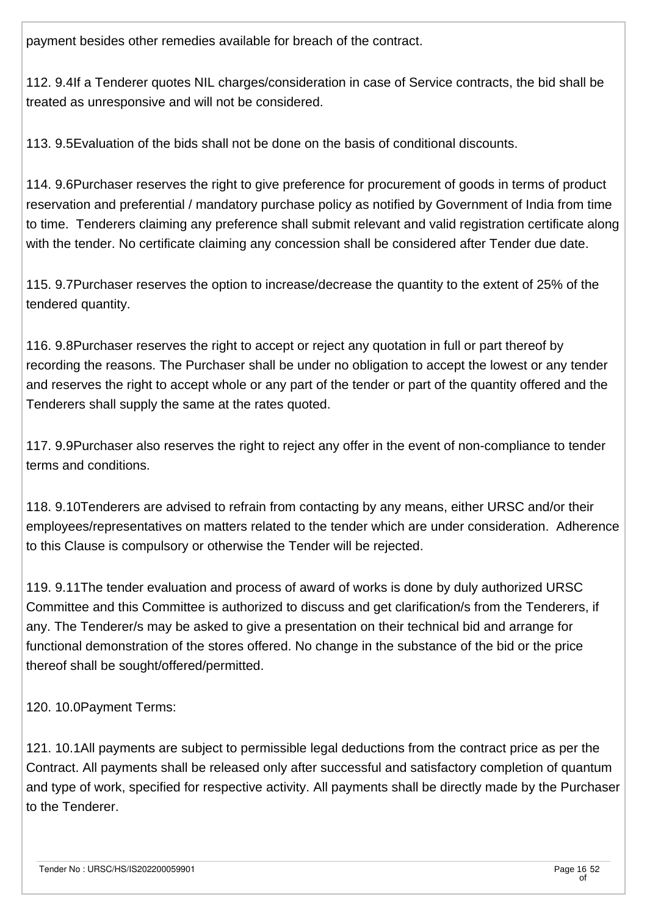payment besides other remedies available for breach of the contract.

112. 9.4If a Tenderer quotes NIL charges/consideration in case of Service contracts, the bid shall be treated as unresponsive and will not be considered.

113. 9.5Evaluation of the bids shall not be done on the basis of conditional discounts.

114. 9.6Purchaser reserves the right to give preference for procurement of goods in terms of product reservation and preferential / mandatory purchase policy as notified by Government of India from time to time. Tenderers claiming any preference shall submit relevant and valid registration certificate along with the tender. No certificate claiming any concession shall be considered after Tender due date.

115. 9.7Purchaser reserves the option to increase/decrease the quantity to the extent of 25% of the tendered quantity.

116. 9.8Purchaser reserves the right to accept or reject any quotation in full or part thereof by recording the reasons. The Purchaser shall be under no obligation to accept the lowest or any tender and reserves the right to accept whole or any part of the tender or part of the quantity offered and the Tenderers shall supply the same at the rates quoted.

117. 9.9Purchaser also reserves the right to reject any offer in the event of non-compliance to tender terms and conditions.

118. 9.10Tenderers are advised to refrain from contacting by any means, either URSC and/or their employees/representatives on matters related to the tender which are under consideration. Adherence to this Clause is compulsory or otherwise the Tender will be rejected.

119. 9.11The tender evaluation and process of award of works is done by duly authorized URSC Committee and this Committee is authorized to discuss and get clarification/s from the Tenderers, if any. The Tenderer/s may be asked to give a presentation on their technical bid and arrange for functional demonstration of the stores offered. No change in the substance of the bid or the price thereof shall be sought/offered/permitted.

120. 10.0Payment Terms:

121. 10.1All payments are subject to permissible legal deductions from the contract price as per the Contract. All payments shall be released only after successful and satisfactory completion of quantum and type of work, specified for respective activity. All payments shall be directly made by the Purchaser to the Tenderer.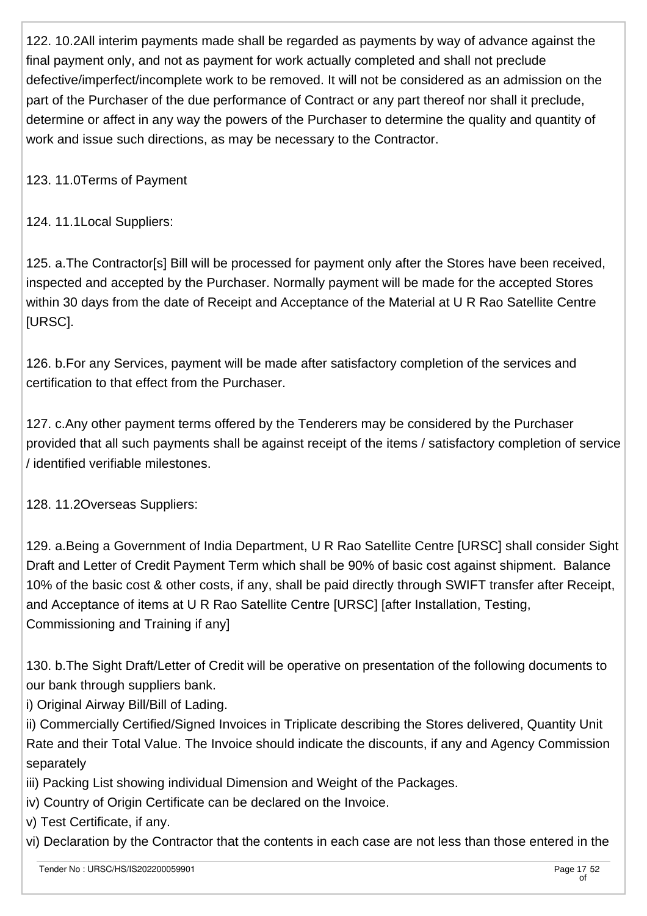122. 10.2All interim payments made shall be regarded as payments by way of advance against the final payment only, and not as payment for work actually completed and shall not preclude defective/imperfect/incomplete work to be removed. It will not be considered as an admission on the part of the Purchaser of the due performance of Contract or any part thereof nor shall it preclude, determine or affect in any way the powers of the Purchaser to determine the quality and quantity of work and issue such directions, as may be necessary to the Contractor.

123. 11.0Terms of Payment

124. 11.1Local Suppliers:

125. a.The Contractor[s] Bill will be processed for payment only after the Stores have been received, inspected and accepted by the Purchaser. Normally payment will be made for the accepted Stores within 30 days from the date of Receipt and Acceptance of the Material at U R Rao Satellite Centre [URSC].

126. b.For any Services, payment will be made after satisfactory completion of the services and certification to that effect from the Purchaser.

127. c.Any other payment terms offered by the Tenderers may be considered by the Purchaser provided that all such payments shall be against receipt of the items / satisfactory completion of service / identified verifiable milestones.

128. 11.2Overseas Suppliers:

129. a.Being a Government of India Department, U R Rao Satellite Centre [URSC] shall consider Sight Draft and Letter of Credit Payment Term which shall be 90% of basic cost against shipment. Balance 10% of the basic cost & other costs, if any, shall be paid directly through SWIFT transfer after Receipt, and Acceptance of items at U R Rao Satellite Centre [URSC] [after Installation, Testing, Commissioning and Training if any]

130. b.The Sight Draft/Letter of Credit will be operative on presentation of the following documents to our bank through suppliers bank.

i) Original Airway Bill/Bill of Lading.

ii) Commercially Certified/Signed Invoices in Triplicate describing the Stores delivered, Quantity Unit Rate and their Total Value. The Invoice should indicate the discounts, if any and Agency Commission separately

- iii) Packing List showing individual Dimension and Weight of the Packages.
- iv) Country of Origin Certificate can be declared on the Invoice.

v) Test Certificate, if any.

vi) Declaration by the Contractor that the contents in each case are not less than those entered in the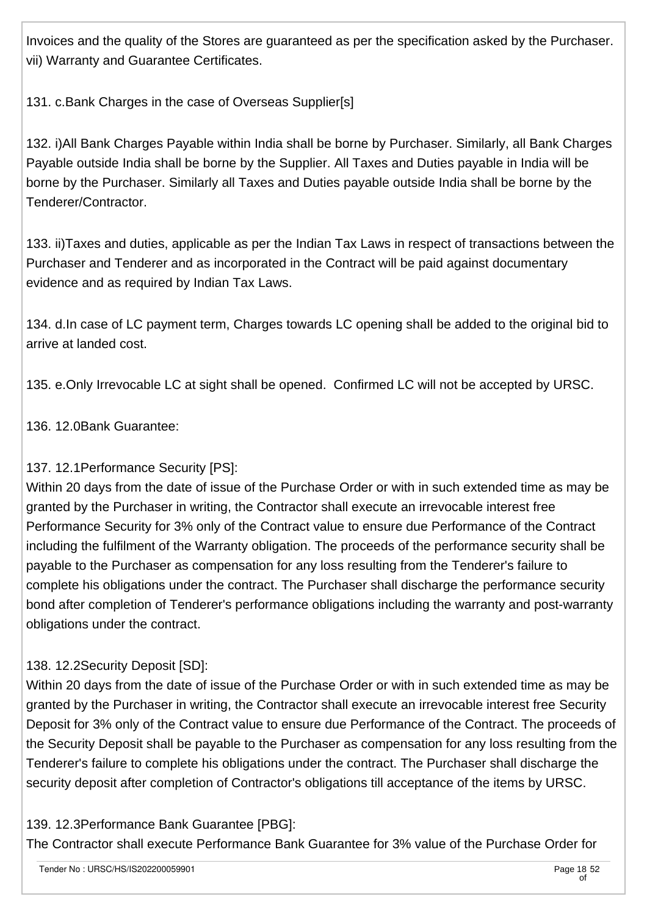Invoices and the quality of the Stores are guaranteed as per the specification asked by the Purchaser. vii) Warranty and Guarantee Certificates.

131. c.Bank Charges in the case of Overseas Supplier[s]

132. i)All Bank Charges Payable within India shall be borne by Purchaser. Similarly, all Bank Charges Payable outside India shall be borne by the Supplier. All Taxes and Duties payable in India will be borne by the Purchaser. Similarly all Taxes and Duties payable outside India shall be borne by the Tenderer/Contractor.

133. ii)Taxes and duties, applicable as per the Indian Tax Laws in respect of transactions between the Purchaser and Tenderer and as incorporated in the Contract will be paid against documentary evidence and as required by Indian Tax Laws.

134. d.In case of LC payment term, Charges towards LC opening shall be added to the original bid to arrive at landed cost.

135. e.Only Irrevocable LC at sight shall be opened. Confirmed LC will not be accepted by URSC.

136. 12.0Bank Guarantee:

### 137. 12.1Performance Security [PS]:

Within 20 days from the date of issue of the Purchase Order or with in such extended time as may be granted by the Purchaser in writing, the Contractor shall execute an irrevocable interest free Performance Security for 3% only of the Contract value to ensure due Performance of the Contract including the fulfilment of the Warranty obligation. The proceeds of the performance security shall be payable to the Purchaser as compensation for any loss resulting from the Tenderer's failure to complete his obligations under the contract. The Purchaser shall discharge the performance security bond after completion of Tenderer's performance obligations including the warranty and post-warranty obligations under the contract.

### 138. 12.2Security Deposit [SD]:

Within 20 days from the date of issue of the Purchase Order or with in such extended time as may be granted by the Purchaser in writing, the Contractor shall execute an irrevocable interest free Security Deposit for 3% only of the Contract value to ensure due Performance of the Contract. The proceeds of the Security Deposit shall be payable to the Purchaser as compensation for any loss resulting from the Tenderer's failure to complete his obligations under the contract. The Purchaser shall discharge the security deposit after completion of Contractor's obligations till acceptance of the items by URSC.

### 139. 12.3Performance Bank Guarantee [PBG]:

The Contractor shall execute Performance Bank Guarantee for 3% value of the Purchase Order for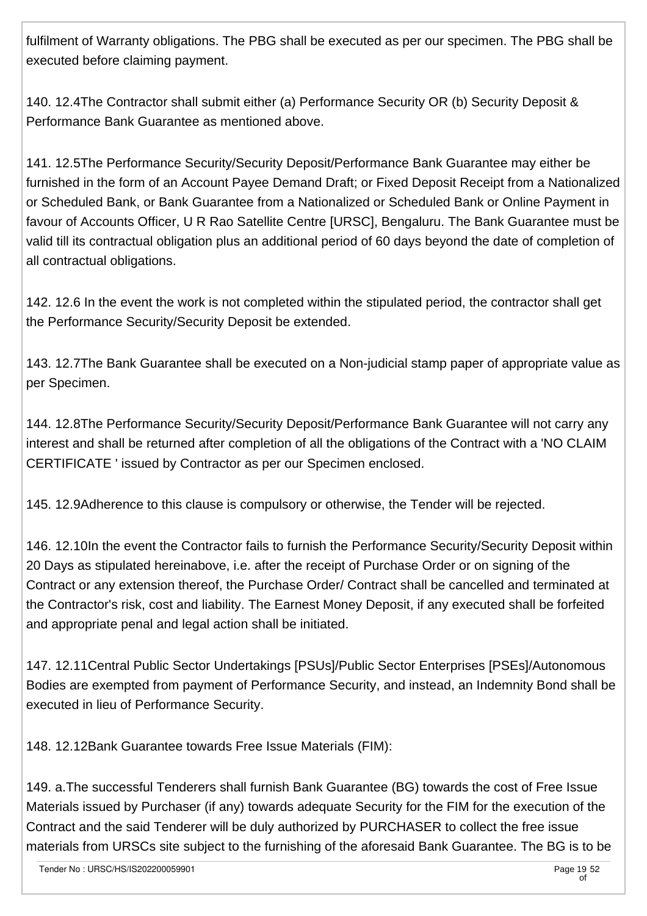fulfilment of Warranty obligations. The PBG shall be executed as per our specimen. The PBG shall be executed before claiming payment.

140. 12.4The Contractor shall submit either (a) Performance Security OR (b) Security Deposit & Performance Bank Guarantee as mentioned above.

141. 12.5The Performance Security/Security Deposit/Performance Bank Guarantee may either be furnished in the form of an Account Payee Demand Draft; or Fixed Deposit Receipt from a Nationalized or Scheduled Bank, or Bank Guarantee from a Nationalized or Scheduled Bank or Online Payment in favour of Accounts Officer, U R Rao Satellite Centre [URSC], Bengaluru. The Bank Guarantee must be valid till its contractual obligation plus an additional period of 60 days beyond the date of completion of all contractual obligations.

142. 12.6 In the event the work is not completed within the stipulated period, the contractor shall get the Performance Security/Security Deposit be extended.

143. 12.7The Bank Guarantee shall be executed on a Non-judicial stamp paper of appropriate value as per Specimen.

144. 12.8The Performance Security/Security Deposit/Performance Bank Guarantee will not carry any interest and shall be returned after completion of all the obligations of the Contract with a 'NO CLAIM CERTIFICATE ' issued by Contractor as per our Specimen enclosed.

145. 12.9Adherence to this clause is compulsory or otherwise, the Tender will be rejected.

146. 12.10In the event the Contractor fails to furnish the Performance Security/Security Deposit within 20 Days as stipulated hereinabove, i.e. after the receipt of Purchase Order or on signing of the Contract or any extension thereof, the Purchase Order/ Contract shall be cancelled and terminated at the Contractor's risk, cost and liability. The Earnest Money Deposit, if any executed shall be forfeited and appropriate penal and legal action shall be initiated.

147. 12.11Central Public Sector Undertakings [PSUs]/Public Sector Enterprises [PSEs]/Autonomous Bodies are exempted from payment of Performance Security, and instead, an Indemnity Bond shall be executed in lieu of Performance Security.

148. 12.12Bank Guarantee towards Free Issue Materials (FIM):

149. a.The successful Tenderers shall furnish Bank Guarantee (BG) towards the cost of Free Issue Materials issued by Purchaser (if any) towards adequate Security for the FIM for the execution of the Contract and the said Tenderer will be duly authorized by PURCHASER to collect the free issue materials from URSCs site subject to the furnishing of the aforesaid Bank Guarantee. The BG is to be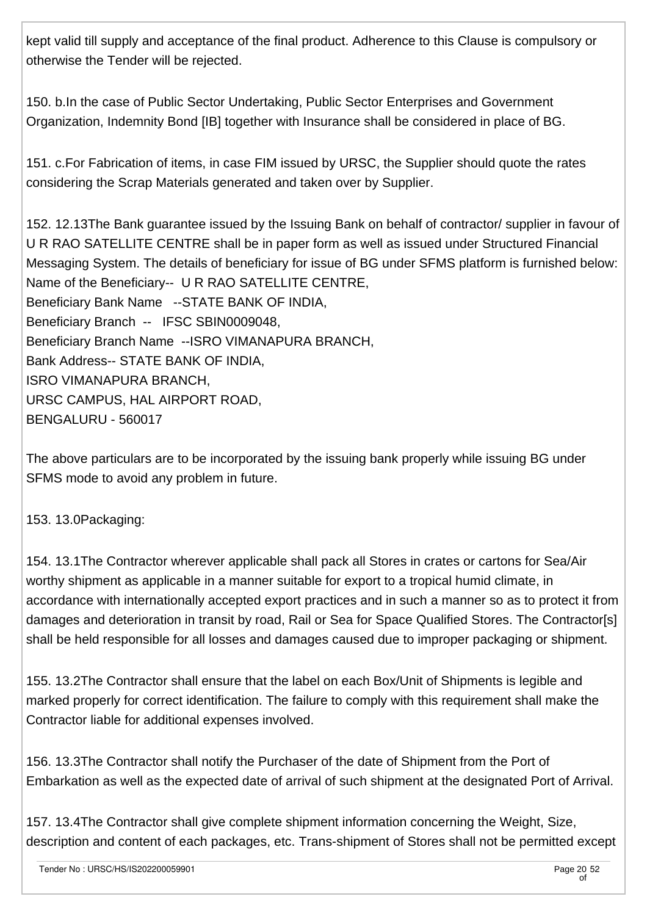kept valid till supply and acceptance of the final product. Adherence to this Clause is compulsory or otherwise the Tender will be rejected.

150. b.In the case of Public Sector Undertaking, Public Sector Enterprises and Government Organization, Indemnity Bond [IB] together with Insurance shall be considered in place of BG.

151. c.For Fabrication of items, in case FIM issued by URSC, the Supplier should quote the rates considering the Scrap Materials generated and taken over by Supplier.

152. 12.13The Bank guarantee issued by the Issuing Bank on behalf of contractor/ supplier in favour of U R RAO SATELLITE CENTRE shall be in paper form as well as issued under Structured Financial Messaging System. The details of beneficiary for issue of BG under SFMS platform is furnished below: Name of the Beneficiary-- U R RAO SATELLITE CENTRE, Beneficiary Bank Name --STATE BANK OF INDIA, Beneficiary Branch -- IFSC SBIN0009048, Beneficiary Branch Name --ISRO VIMANAPURA BRANCH, Bank Address-- STATE BANK OF INDIA, ISRO VIMANAPURA BRANCH, URSC CAMPUS, HAL AIRPORT ROAD, BENGALURU - 560017

The above particulars are to be incorporated by the issuing bank properly while issuing BG under SFMS mode to avoid any problem in future.

153. 13.0Packaging:

154. 13.1The Contractor wherever applicable shall pack all Stores in crates or cartons for Sea/Air worthy shipment as applicable in a manner suitable for export to a tropical humid climate, in accordance with internationally accepted export practices and in such a manner so as to protect it from damages and deterioration in transit by road, Rail or Sea for Space Qualified Stores. The Contractor[s] shall be held responsible for all losses and damages caused due to improper packaging or shipment.

155. 13.2The Contractor shall ensure that the label on each Box/Unit of Shipments is legible and marked properly for correct identification. The failure to comply with this requirement shall make the Contractor liable for additional expenses involved.

156. 13.3The Contractor shall notify the Purchaser of the date of Shipment from the Port of Embarkation as well as the expected date of arrival of such shipment at the designated Port of Arrival.

157. 13.4The Contractor shall give complete shipment information concerning the Weight, Size, description and content of each packages, etc. Trans-shipment of Stores shall not be permitted except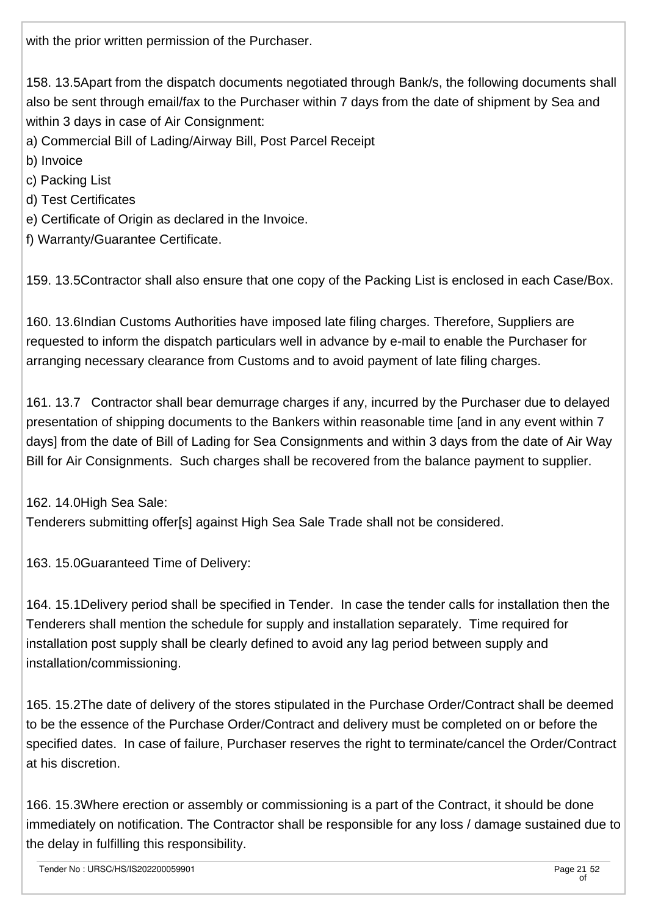with the prior written permission of the Purchaser.

158. 13.5Apart from the dispatch documents negotiated through Bank/s, the following documents shall also be sent through email/fax to the Purchaser within 7 days from the date of shipment by Sea and within 3 days in case of Air Consignment:

a) Commercial Bill of Lading/Airway Bill, Post Parcel Receipt

- b) Invoice
- c) Packing List
- d) Test Certificates
- e) Certificate of Origin as declared in the Invoice.
- f) Warranty/Guarantee Certificate.

159. 13.5Contractor shall also ensure that one copy of the Packing List is enclosed in each Case/Box.

160. 13.6Indian Customs Authorities have imposed late filing charges. Therefore, Suppliers are requested to inform the dispatch particulars well in advance by e-mail to enable the Purchaser for arranging necessary clearance from Customs and to avoid payment of late filing charges.

161. 13.7 Contractor shall bear demurrage charges if any, incurred by the Purchaser due to delayed presentation of shipping documents to the Bankers within reasonable time [and in any event within 7 days] from the date of Bill of Lading for Sea Consignments and within 3 days from the date of Air Way Bill for Air Consignments. Such charges shall be recovered from the balance payment to supplier.

162. 14.0High Sea Sale:

Tenderers submitting offer[s] against High Sea Sale Trade shall not be considered.

163. 15.0Guaranteed Time of Delivery:

164. 15.1Delivery period shall be specified in Tender. In case the tender calls for installation then the Tenderers shall mention the schedule for supply and installation separately. Time required for installation post supply shall be clearly defined to avoid any lag period between supply and installation/commissioning.

165. 15.2The date of delivery of the stores stipulated in the Purchase Order/Contract shall be deemed to be the essence of the Purchase Order/Contract and delivery must be completed on or before the specified dates. In case of failure, Purchaser reserves the right to terminate/cancel the Order/Contract at his discretion.

166. 15.3Where erection or assembly or commissioning is a part of the Contract, it should be done immediately on notification. The Contractor shall be responsible for any loss / damage sustained due to the delay in fulfilling this responsibility.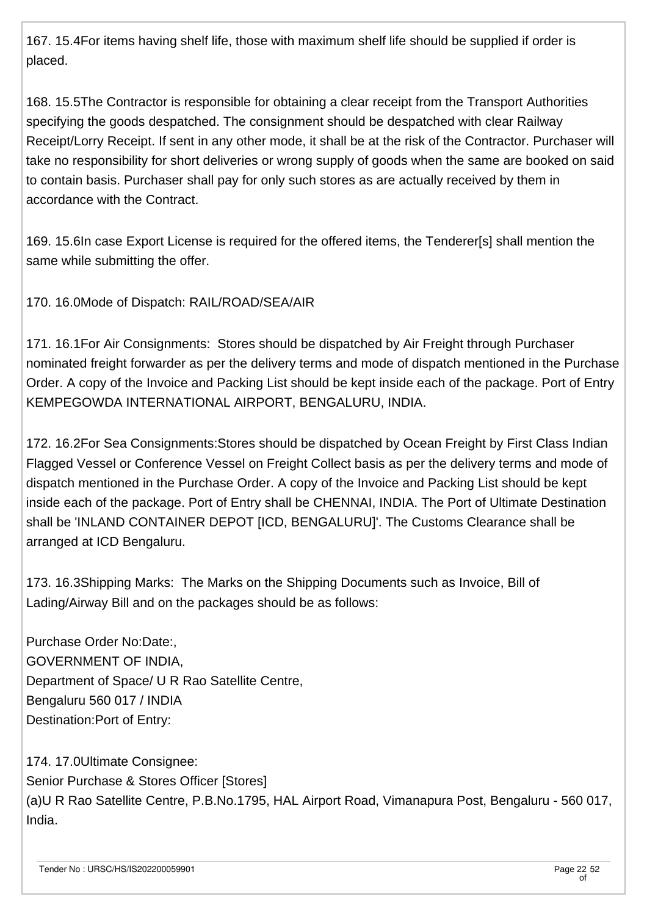167. 15.4For items having shelf life, those with maximum shelf life should be supplied if order is placed.

168. 15.5The Contractor is responsible for obtaining a clear receipt from the Transport Authorities specifying the goods despatched. The consignment should be despatched with clear Railway Receipt/Lorry Receipt. If sent in any other mode, it shall be at the risk of the Contractor. Purchaser will take no responsibility for short deliveries or wrong supply of goods when the same are booked on said to contain basis. Purchaser shall pay for only such stores as are actually received by them in accordance with the Contract.

169. 15.6In case Export License is required for the offered items, the Tenderer[s] shall mention the same while submitting the offer.

170. 16.0Mode of Dispatch: RAIL/ROAD/SEA/AIR

171. 16.1For Air Consignments: Stores should be dispatched by Air Freight through Purchaser nominated freight forwarder as per the delivery terms and mode of dispatch mentioned in the Purchase Order. A copy of the Invoice and Packing List should be kept inside each of the package. Port of Entry KEMPEGOWDA INTERNATIONAL AIRPORT, BENGALURU, INDIA.

172. 16.2For Sea Consignments:Stores should be dispatched by Ocean Freight by First Class Indian Flagged Vessel or Conference Vessel on Freight Collect basis as per the delivery terms and mode of dispatch mentioned in the Purchase Order. A copy of the Invoice and Packing List should be kept inside each of the package. Port of Entry shall be CHENNAI, INDIA. The Port of Ultimate Destination shall be 'INLAND CONTAINER DEPOT [ICD, BENGALURU]'. The Customs Clearance shall be arranged at ICD Bengaluru.

173. 16.3Shipping Marks: The Marks on the Shipping Documents such as Invoice, Bill of Lading/Airway Bill and on the packages should be as follows:

Purchase Order No:Date:, GOVERNMENT OF INDIA, Department of Space/ U R Rao Satellite Centre, Bengaluru 560 017 / INDIA Destination:Port of Entry:

174. 17.0Ultimate Consignee: Senior Purchase & Stores Officer [Stores] (a)U R Rao Satellite Centre, P.B.No.1795, HAL Airport Road, Vimanapura Post, Bengaluru - 560 017, India.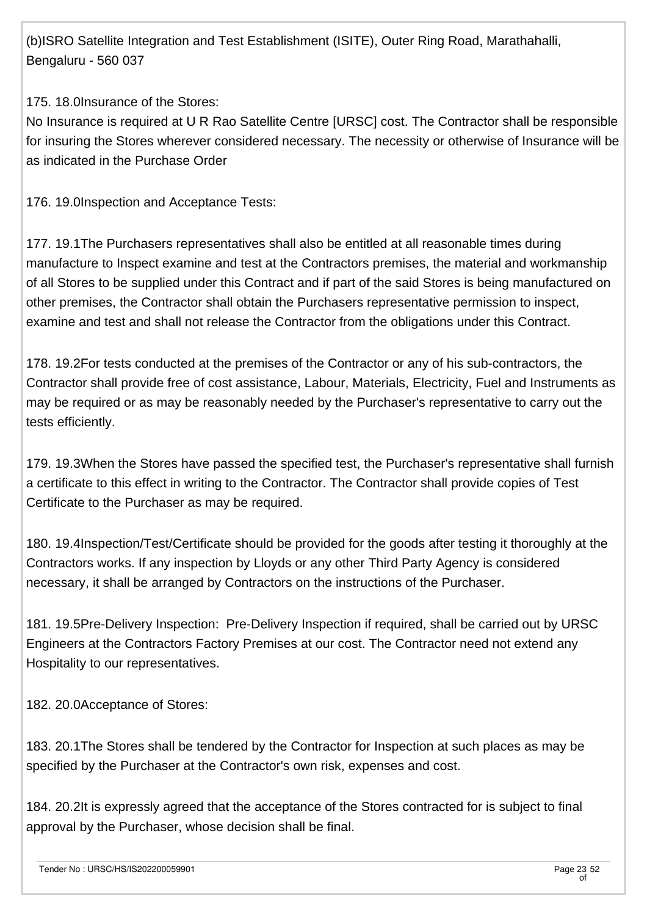(b)ISRO Satellite Integration and Test Establishment (ISITE), Outer Ring Road, Marathahalli, Bengaluru - 560 037

175. 18.0Insurance of the Stores:

No Insurance is required at U R Rao Satellite Centre [URSC] cost. The Contractor shall be responsible for insuring the Stores wherever considered necessary. The necessity or otherwise of Insurance will be as indicated in the Purchase Order

176. 19.0Inspection and Acceptance Tests:

177. 19.1The Purchasers representatives shall also be entitled at all reasonable times during manufacture to Inspect examine and test at the Contractors premises, the material and workmanship of all Stores to be supplied under this Contract and if part of the said Stores is being manufactured on other premises, the Contractor shall obtain the Purchasers representative permission to inspect, examine and test and shall not release the Contractor from the obligations under this Contract.

178. 19.2For tests conducted at the premises of the Contractor or any of his sub-contractors, the Contractor shall provide free of cost assistance, Labour, Materials, Electricity, Fuel and Instruments as may be required or as may be reasonably needed by the Purchaser's representative to carry out the tests efficiently.

179. 19.3When the Stores have passed the specified test, the Purchaser's representative shall furnish a certificate to this effect in writing to the Contractor. The Contractor shall provide copies of Test Certificate to the Purchaser as may be required.

180. 19.4Inspection/Test/Certificate should be provided for the goods after testing it thoroughly at the Contractors works. If any inspection by Lloyds or any other Third Party Agency is considered necessary, it shall be arranged by Contractors on the instructions of the Purchaser.

181. 19.5Pre-Delivery Inspection: Pre-Delivery Inspection if required, shall be carried out by URSC Engineers at the Contractors Factory Premises at our cost. The Contractor need not extend any Hospitality to our representatives.

182. 20.0Acceptance of Stores:

183. 20.1The Stores shall be tendered by the Contractor for Inspection at such places as may be specified by the Purchaser at the Contractor's own risk, expenses and cost.

184. 20.2It is expressly agreed that the acceptance of the Stores contracted for is subject to final approval by the Purchaser, whose decision shall be final.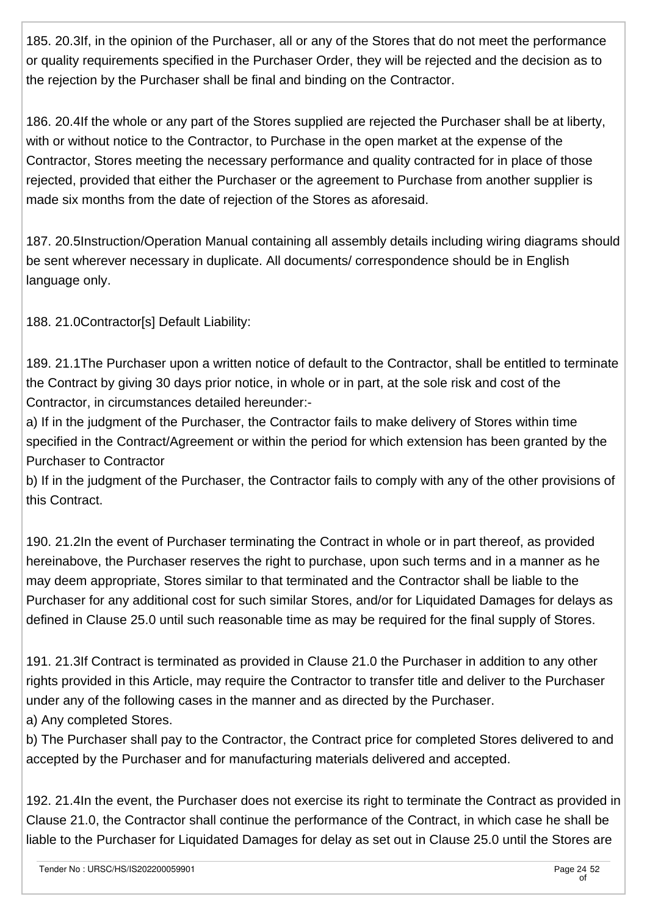185. 20.3If, in the opinion of the Purchaser, all or any of the Stores that do not meet the performance or quality requirements specified in the Purchaser Order, they will be rejected and the decision as to the rejection by the Purchaser shall be final and binding on the Contractor.

186. 20.4If the whole or any part of the Stores supplied are rejected the Purchaser shall be at liberty, with or without notice to the Contractor, to Purchase in the open market at the expense of the Contractor, Stores meeting the necessary performance and quality contracted for in place of those rejected, provided that either the Purchaser or the agreement to Purchase from another supplier is made six months from the date of rejection of the Stores as aforesaid.

187. 20.5Instruction/Operation Manual containing all assembly details including wiring diagrams should be sent wherever necessary in duplicate. All documents/ correspondence should be in English language only.

188. 21.0Contractor[s] Default Liability:

189. 21.1The Purchaser upon a written notice of default to the Contractor, shall be entitled to terminate the Contract by giving 30 days prior notice, in whole or in part, at the sole risk and cost of the Contractor, in circumstances detailed hereunder:-

a) If in the judgment of the Purchaser, the Contractor fails to make delivery of Stores within time specified in the Contract/Agreement or within the period for which extension has been granted by the Purchaser to Contractor

b) If in the judgment of the Purchaser, the Contractor fails to comply with any of the other provisions of this Contract.

190. 21.2In the event of Purchaser terminating the Contract in whole or in part thereof, as provided hereinabove, the Purchaser reserves the right to purchase, upon such terms and in a manner as he may deem appropriate, Stores similar to that terminated and the Contractor shall be liable to the Purchaser for any additional cost for such similar Stores, and/or for Liquidated Damages for delays as defined in Clause 25.0 until such reasonable time as may be required for the final supply of Stores.

191. 21.3If Contract is terminated as provided in Clause 21.0 the Purchaser in addition to any other rights provided in this Article, may require the Contractor to transfer title and deliver to the Purchaser under any of the following cases in the manner and as directed by the Purchaser. a) Any completed Stores.

b) The Purchaser shall pay to the Contractor, the Contract price for completed Stores delivered to and accepted by the Purchaser and for manufacturing materials delivered and accepted.

192. 21.4In the event, the Purchaser does not exercise its right to terminate the Contract as provided in Clause 21.0, the Contractor shall continue the performance of the Contract, in which case he shall be liable to the Purchaser for Liquidated Damages for delay as set out in Clause 25.0 until the Stores are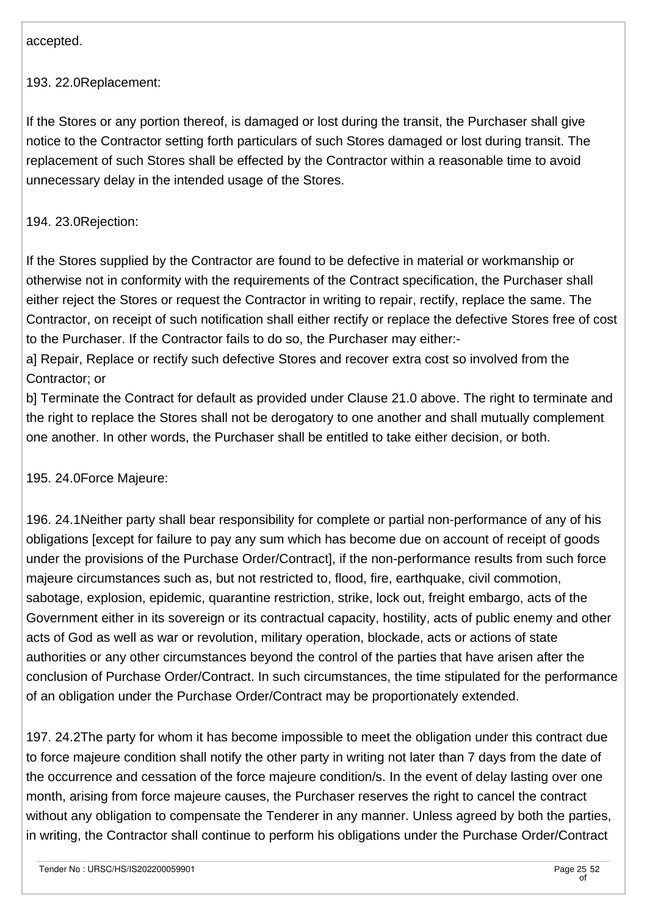accepted.

193. 22.0Replacement:

If the Stores or any portion thereof, is damaged or lost during the transit, the Purchaser shall give notice to the Contractor setting forth particulars of such Stores damaged or lost during transit. The replacement of such Stores shall be effected by the Contractor within a reasonable time to avoid unnecessary delay in the intended usage of the Stores.

### 194. 23.0Rejection:

If the Stores supplied by the Contractor are found to be defective in material or workmanship or otherwise not in conformity with the requirements of the Contract specification, the Purchaser shall either reject the Stores or request the Contractor in writing to repair, rectify, replace the same. The Contractor, on receipt of such notification shall either rectify or replace the defective Stores free of cost to the Purchaser. If the Contractor fails to do so, the Purchaser may either:-

a] Repair, Replace or rectify such defective Stores and recover extra cost so involved from the Contractor; or

b] Terminate the Contract for default as provided under Clause 21.0 above. The right to terminate and the right to replace the Stores shall not be derogatory to one another and shall mutually complement one another. In other words, the Purchaser shall be entitled to take either decision, or both.

195. 24.0Force Majeure:

196. 24.1Neither party shall bear responsibility for complete or partial non-performance of any of his obligations [except for failure to pay any sum which has become due on account of receipt of goods under the provisions of the Purchase Order/Contract], if the non-performance results from such force majeure circumstances such as, but not restricted to, flood, fire, earthquake, civil commotion, sabotage, explosion, epidemic, quarantine restriction, strike, lock out, freight embargo, acts of the Government either in its sovereign or its contractual capacity, hostility, acts of public enemy and other acts of God as well as war or revolution, military operation, blockade, acts or actions of state authorities or any other circumstances beyond the control of the parties that have arisen after the conclusion of Purchase Order/Contract. In such circumstances, the time stipulated for the performance of an obligation under the Purchase Order/Contract may be proportionately extended.

197. 24.2The party for whom it has become impossible to meet the obligation under this contract due to force majeure condition shall notify the other party in writing not later than 7 days from the date of the occurrence and cessation of the force majeure condition/s. In the event of delay lasting over one month, arising from force majeure causes, the Purchaser reserves the right to cancel the contract without any obligation to compensate the Tenderer in any manner. Unless agreed by both the parties, in writing, the Contractor shall continue to perform his obligations under the Purchase Order/Contract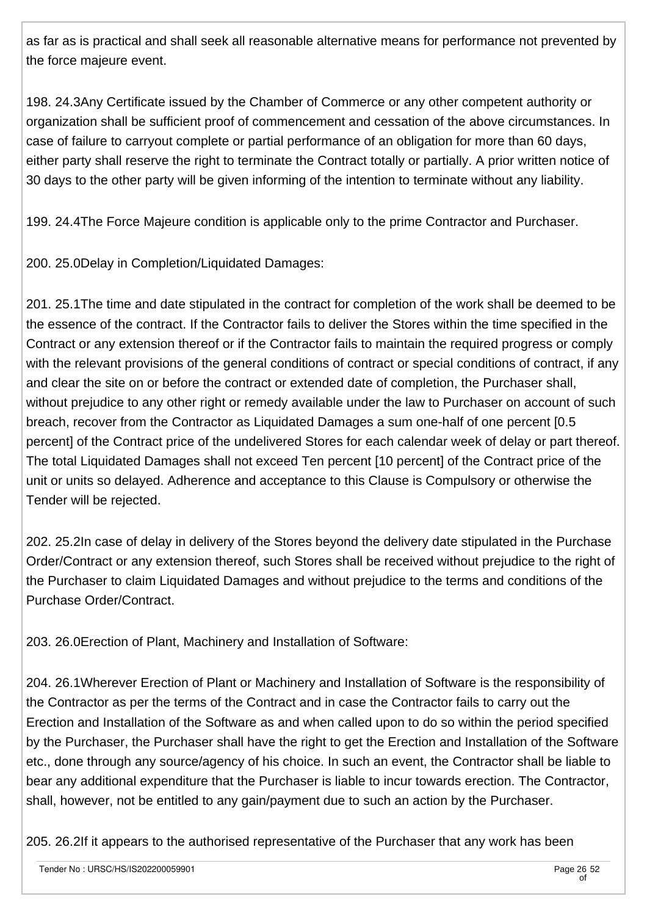as far as is practical and shall seek all reasonable alternative means for performance not prevented by the force majeure event.

198. 24.3Any Certificate issued by the Chamber of Commerce or any other competent authority or organization shall be sufficient proof of commencement and cessation of the above circumstances. In case of failure to carryout complete or partial performance of an obligation for more than 60 days, either party shall reserve the right to terminate the Contract totally or partially. A prior written notice of 30 days to the other party will be given informing of the intention to terminate without any liability.

199. 24.4The Force Majeure condition is applicable only to the prime Contractor and Purchaser.

200. 25.0Delay in Completion/Liquidated Damages:

201. 25.1The time and date stipulated in the contract for completion of the work shall be deemed to be the essence of the contract. If the Contractor fails to deliver the Stores within the time specified in the Contract or any extension thereof or if the Contractor fails to maintain the required progress or comply with the relevant provisions of the general conditions of contract or special conditions of contract, if any and clear the site on or before the contract or extended date of completion, the Purchaser shall, without prejudice to any other right or remedy available under the law to Purchaser on account of such breach, recover from the Contractor as Liquidated Damages a sum one-half of one percent [0.5 percent] of the Contract price of the undelivered Stores for each calendar week of delay or part thereof. The total Liquidated Damages shall not exceed Ten percent [10 percent] of the Contract price of the unit or units so delayed. Adherence and acceptance to this Clause is Compulsory or otherwise the Tender will be rejected.

202. 25.2In case of delay in delivery of the Stores beyond the delivery date stipulated in the Purchase Order/Contract or any extension thereof, such Stores shall be received without prejudice to the right of the Purchaser to claim Liquidated Damages and without prejudice to the terms and conditions of the Purchase Order/Contract.

203. 26.0Erection of Plant, Machinery and Installation of Software:

204. 26.1Wherever Erection of Plant or Machinery and Installation of Software is the responsibility of the Contractor as per the terms of the Contract and in case the Contractor fails to carry out the Erection and Installation of the Software as and when called upon to do so within the period specified by the Purchaser, the Purchaser shall have the right to get the Erection and Installation of the Software etc., done through any source/agency of his choice. In such an event, the Contractor shall be liable to bear any additional expenditure that the Purchaser is liable to incur towards erection. The Contractor, shall, however, not be entitled to any gain/payment due to such an action by the Purchaser.

205. 26.2If it appears to the authorised representative of the Purchaser that any work has been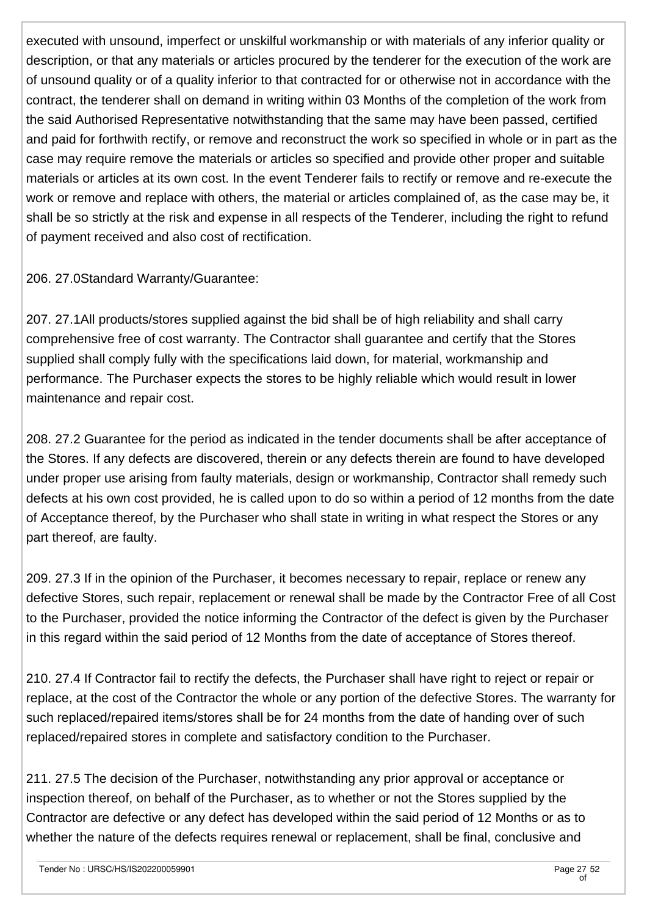executed with unsound, imperfect or unskilful workmanship or with materials of any inferior quality or description, or that any materials or articles procured by the tenderer for the execution of the work are of unsound quality or of a quality inferior to that contracted for or otherwise not in accordance with the contract, the tenderer shall on demand in writing within 03 Months of the completion of the work from the said Authorised Representative notwithstanding that the same may have been passed, certified and paid for forthwith rectify, or remove and reconstruct the work so specified in whole or in part as the case may require remove the materials or articles so specified and provide other proper and suitable materials or articles at its own cost. In the event Tenderer fails to rectify or remove and re-execute the work or remove and replace with others, the material or articles complained of, as the case may be, it shall be so strictly at the risk and expense in all respects of the Tenderer, including the right to refund of payment received and also cost of rectification.

206. 27.0Standard Warranty/Guarantee:

207. 27.1All products/stores supplied against the bid shall be of high reliability and shall carry comprehensive free of cost warranty. The Contractor shall guarantee and certify that the Stores supplied shall comply fully with the specifications laid down, for material, workmanship and performance. The Purchaser expects the stores to be highly reliable which would result in lower maintenance and repair cost.

208. 27.2 Guarantee for the period as indicated in the tender documents shall be after acceptance of the Stores. If any defects are discovered, therein or any defects therein are found to have developed under proper use arising from faulty materials, design or workmanship, Contractor shall remedy such defects at his own cost provided, he is called upon to do so within a period of 12 months from the date of Acceptance thereof, by the Purchaser who shall state in writing in what respect the Stores or any part thereof, are faulty.

209. 27.3 If in the opinion of the Purchaser, it becomes necessary to repair, replace or renew any defective Stores, such repair, replacement or renewal shall be made by the Contractor Free of all Cost to the Purchaser, provided the notice informing the Contractor of the defect is given by the Purchaser in this regard within the said period of 12 Months from the date of acceptance of Stores thereof.

210. 27.4 If Contractor fail to rectify the defects, the Purchaser shall have right to reject or repair or replace, at the cost of the Contractor the whole or any portion of the defective Stores. The warranty for such replaced/repaired items/stores shall be for 24 months from the date of handing over of such replaced/repaired stores in complete and satisfactory condition to the Purchaser.

211. 27.5 The decision of the Purchaser, notwithstanding any prior approval or acceptance or inspection thereof, on behalf of the Purchaser, as to whether or not the Stores supplied by the Contractor are defective or any defect has developed within the said period of 12 Months or as to whether the nature of the defects requires renewal or replacement, shall be final, conclusive and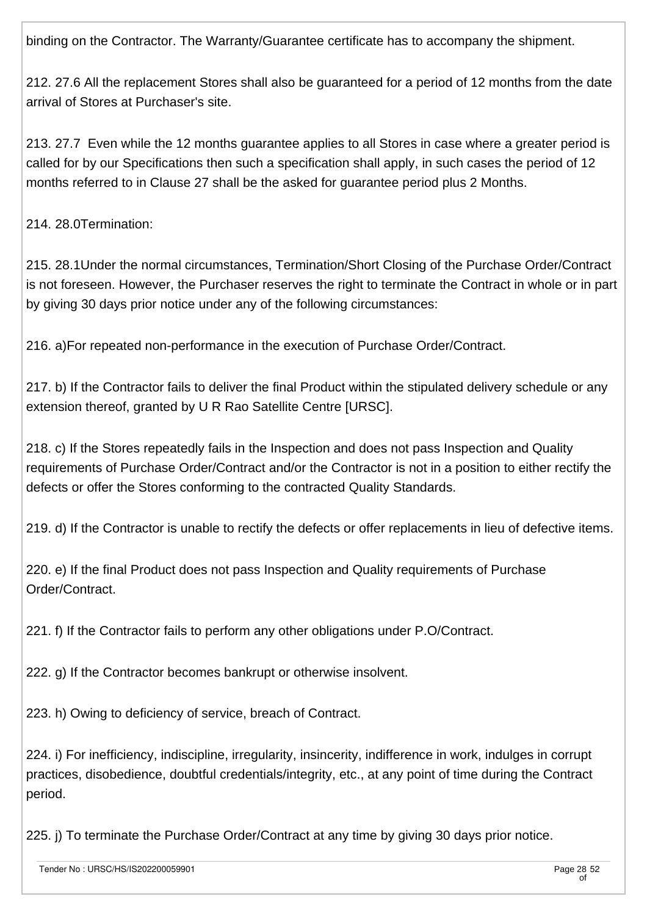binding on the Contractor. The Warranty/Guarantee certificate has to accompany the shipment.

212. 27.6 All the replacement Stores shall also be guaranteed for a period of 12 months from the date arrival of Stores at Purchaser's site.

213. 27.7 Even while the 12 months guarantee applies to all Stores in case where a greater period is called for by our Specifications then such a specification shall apply, in such cases the period of 12 months referred to in Clause 27 shall be the asked for guarantee period plus 2 Months.

214. 28.0Termination:

215. 28.1Under the normal circumstances, Termination/Short Closing of the Purchase Order/Contract is not foreseen. However, the Purchaser reserves the right to terminate the Contract in whole or in part by giving 30 days prior notice under any of the following circumstances:

216. a)For repeated non-performance in the execution of Purchase Order/Contract.

217. b) If the Contractor fails to deliver the final Product within the stipulated delivery schedule or any extension thereof, granted by U R Rao Satellite Centre [URSC].

218. c) If the Stores repeatedly fails in the Inspection and does not pass Inspection and Quality requirements of Purchase Order/Contract and/or the Contractor is not in a position to either rectify the defects or offer the Stores conforming to the contracted Quality Standards.

219. d) If the Contractor is unable to rectify the defects or offer replacements in lieu of defective items.

220. e) If the final Product does not pass Inspection and Quality requirements of Purchase Order/Contract.

221. f) If the Contractor fails to perform any other obligations under P.O/Contract.

222. g) If the Contractor becomes bankrupt or otherwise insolvent.

223. h) Owing to deficiency of service, breach of Contract.

224. i) For inefficiency, indiscipline, irregularity, insincerity, indifference in work, indulges in corrupt practices, disobedience, doubtful credentials/integrity, etc., at any point of time during the Contract period.

225. j) To terminate the Purchase Order/Contract at any time by giving 30 days prior notice.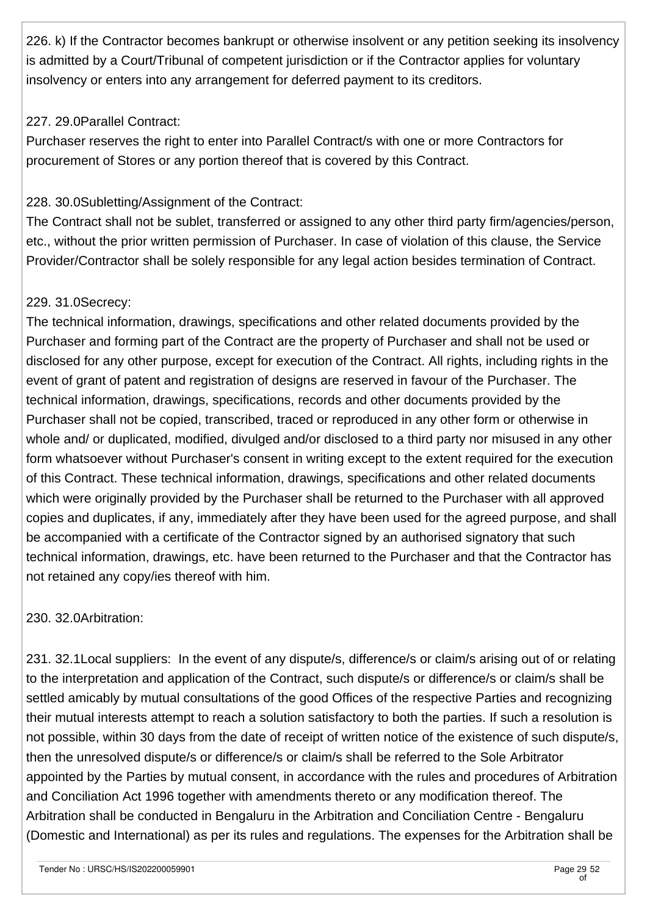226. k) If the Contractor becomes bankrupt or otherwise insolvent or any petition seeking its insolvency is admitted by a Court/Tribunal of competent jurisdiction or if the Contractor applies for voluntary insolvency or enters into any arrangement for deferred payment to its creditors.

#### 227. 29.0Parallel Contract:

Purchaser reserves the right to enter into Parallel Contract/s with one or more Contractors for procurement of Stores or any portion thereof that is covered by this Contract.

### 228. 30.0Subletting/Assignment of the Contract:

The Contract shall not be sublet, transferred or assigned to any other third party firm/agencies/person, etc., without the prior written permission of Purchaser. In case of violation of this clause, the Service Provider/Contractor shall be solely responsible for any legal action besides termination of Contract.

### 229. 31.0Secrecy:

The technical information, drawings, specifications and other related documents provided by the Purchaser and forming part of the Contract are the property of Purchaser and shall not be used or disclosed for any other purpose, except for execution of the Contract. All rights, including rights in the event of grant of patent and registration of designs are reserved in favour of the Purchaser. The technical information, drawings, specifications, records and other documents provided by the Purchaser shall not be copied, transcribed, traced or reproduced in any other form or otherwise in whole and/ or duplicated, modified, divulged and/or disclosed to a third party nor misused in any other form whatsoever without Purchaser's consent in writing except to the extent required for the execution of this Contract. These technical information, drawings, specifications and other related documents which were originally provided by the Purchaser shall be returned to the Purchaser with all approved copies and duplicates, if any, immediately after they have been used for the agreed purpose, and shall be accompanied with a certificate of the Contractor signed by an authorised signatory that such technical information, drawings, etc. have been returned to the Purchaser and that the Contractor has not retained any copy/ies thereof with him.

### 230. 32.0Arbitration:

231. 32.1Local suppliers: In the event of any dispute/s, difference/s or claim/s arising out of or relating to the interpretation and application of the Contract, such dispute/s or difference/s or claim/s shall be settled amicably by mutual consultations of the good Offices of the respective Parties and recognizing their mutual interests attempt to reach a solution satisfactory to both the parties. If such a resolution is not possible, within 30 days from the date of receipt of written notice of the existence of such dispute/s, then the unresolved dispute/s or difference/s or claim/s shall be referred to the Sole Arbitrator appointed by the Parties by mutual consent, in accordance with the rules and procedures of Arbitration and Conciliation Act 1996 together with amendments thereto or any modification thereof. The Arbitration shall be conducted in Bengaluru in the Arbitration and Conciliation Centre - Bengaluru (Domestic and International) as per its rules and regulations. The expenses for the Arbitration shall be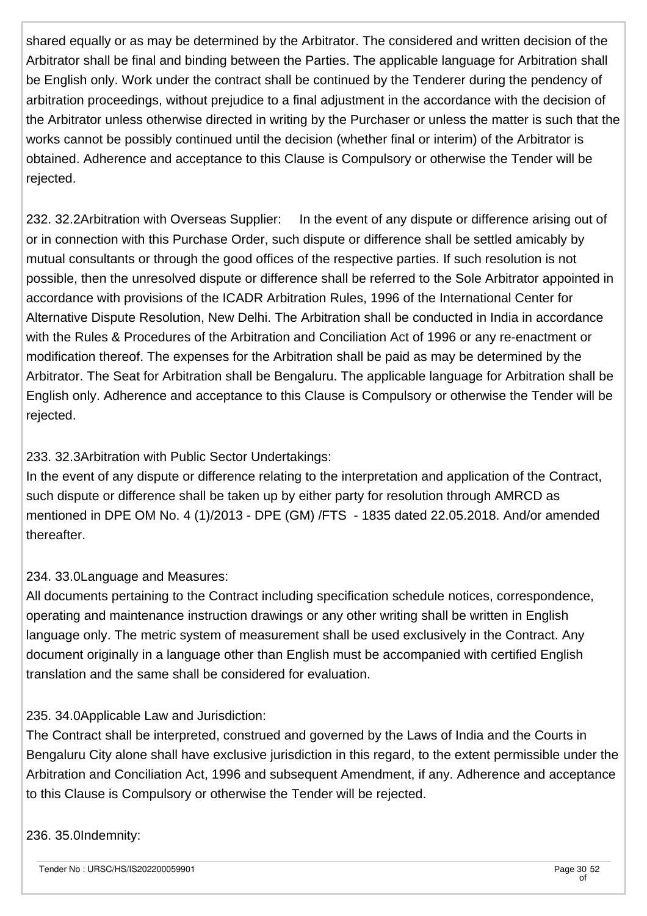shared equally or as may be determined by the Arbitrator. The considered and written decision of the Arbitrator shall be final and binding between the Parties. The applicable language for Arbitration shall be English only. Work under the contract shall be continued by the Tenderer during the pendency of arbitration proceedings, without prejudice to a final adjustment in the accordance with the decision of the Arbitrator unless otherwise directed in writing by the Purchaser or unless the matter is such that the works cannot be possibly continued until the decision (whether final or interim) of the Arbitrator is obtained. Adherence and acceptance to this Clause is Compulsory or otherwise the Tender will be rejected.

232. 32.2Arbitration with Overseas Supplier: In the event of any dispute or difference arising out of or in connection with this Purchase Order, such dispute or difference shall be settled amicably by mutual consultants or through the good offices of the respective parties. If such resolution is not possible, then the unresolved dispute or difference shall be referred to the Sole Arbitrator appointed in accordance with provisions of the ICADR Arbitration Rules, 1996 of the International Center for Alternative Dispute Resolution, New Delhi. The Arbitration shall be conducted in India in accordance with the Rules & Procedures of the Arbitration and Conciliation Act of 1996 or any re-enactment or modification thereof. The expenses for the Arbitration shall be paid as may be determined by the Arbitrator. The Seat for Arbitration shall be Bengaluru. The applicable language for Arbitration shall be English only. Adherence and acceptance to this Clause is Compulsory or otherwise the Tender will be rejected.

### 233. 32.3Arbitration with Public Sector Undertakings:

In the event of any dispute or difference relating to the interpretation and application of the Contract, such dispute or difference shall be taken up by either party for resolution through AMRCD as mentioned in DPE OM No. 4 (1)/2013 - DPE (GM) /FTS - 1835 dated 22.05.2018. And/or amended thereafter.

### 234. 33.0Language and Measures:

All documents pertaining to the Contract including specification schedule notices, correspondence, operating and maintenance instruction drawings or any other writing shall be written in English language only. The metric system of measurement shall be used exclusively in the Contract. Any document originally in a language other than English must be accompanied with certified English translation and the same shall be considered for evaluation.

#### 235. 34.0Applicable Law and Jurisdiction:

The Contract shall be interpreted, construed and governed by the Laws of India and the Courts in Bengaluru City alone shall have exclusive jurisdiction in this regard, to the extent permissible under the Arbitration and Conciliation Act, 1996 and subsequent Amendment, if any. Adherence and acceptance to this Clause is Compulsory or otherwise the Tender will be rejected.

#### 236. 35.0Indemnity: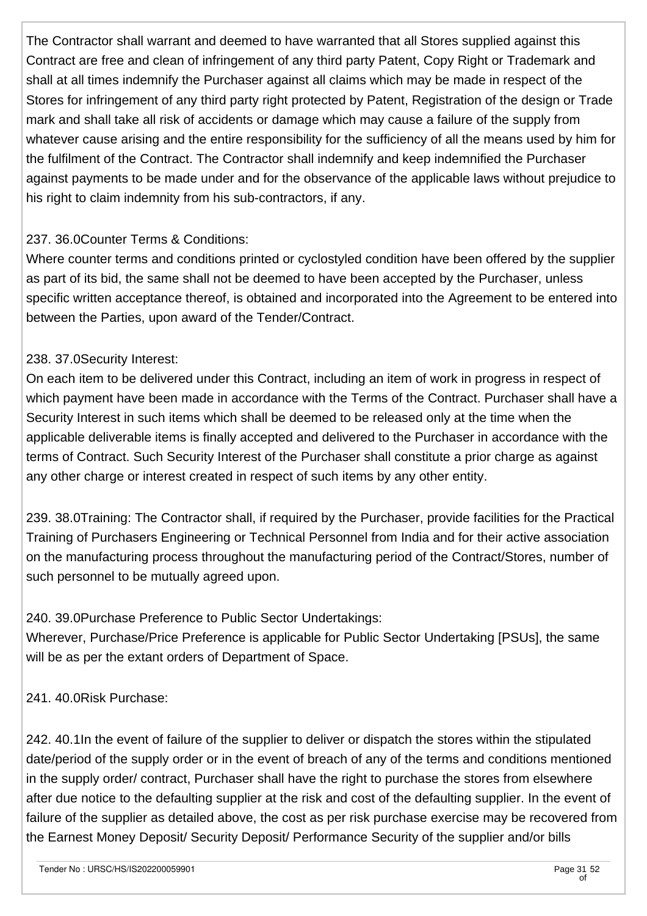The Contractor shall warrant and deemed to have warranted that all Stores supplied against this Contract are free and clean of infringement of any third party Patent, Copy Right or Trademark and shall at all times indemnify the Purchaser against all claims which may be made in respect of the Stores for infringement of any third party right protected by Patent, Registration of the design or Trade mark and shall take all risk of accidents or damage which may cause a failure of the supply from whatever cause arising and the entire responsibility for the sufficiency of all the means used by him for the fulfilment of the Contract. The Contractor shall indemnify and keep indemnified the Purchaser against payments to be made under and for the observance of the applicable laws without prejudice to his right to claim indemnity from his sub-contractors, if any.

### 237. 36.0Counter Terms & Conditions:

Where counter terms and conditions printed or cyclostyled condition have been offered by the supplier as part of its bid, the same shall not be deemed to have been accepted by the Purchaser, unless specific written acceptance thereof, is obtained and incorporated into the Agreement to be entered into between the Parties, upon award of the Tender/Contract.

### 238. 37.0Security Interest:

On each item to be delivered under this Contract, including an item of work in progress in respect of which payment have been made in accordance with the Terms of the Contract. Purchaser shall have a Security Interest in such items which shall be deemed to be released only at the time when the applicable deliverable items is finally accepted and delivered to the Purchaser in accordance with the terms of Contract. Such Security Interest of the Purchaser shall constitute a prior charge as against any other charge or interest created in respect of such items by any other entity.

239. 38.0Training: The Contractor shall, if required by the Purchaser, provide facilities for the Practical Training of Purchasers Engineering or Technical Personnel from India and for their active association on the manufacturing process throughout the manufacturing period of the Contract/Stores, number of such personnel to be mutually agreed upon.

### 240. 39.0Purchase Preference to Public Sector Undertakings:

Wherever, Purchase/Price Preference is applicable for Public Sector Undertaking [PSUs], the same will be as per the extant orders of Department of Space.

241. 40.0Risk Purchase:

242. 40.1In the event of failure of the supplier to deliver or dispatch the stores within the stipulated date/period of the supply order or in the event of breach of any of the terms and conditions mentioned in the supply order/ contract, Purchaser shall have the right to purchase the stores from elsewhere after due notice to the defaulting supplier at the risk and cost of the defaulting supplier. In the event of failure of the supplier as detailed above, the cost as per risk purchase exercise may be recovered from the Earnest Money Deposit/ Security Deposit/ Performance Security of the supplier and/or bills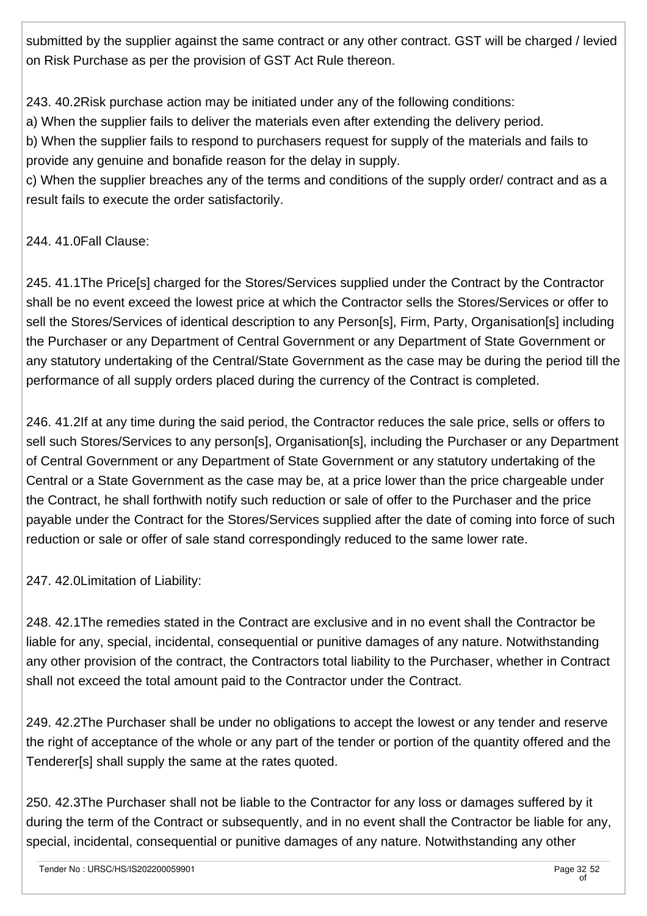submitted by the supplier against the same contract or any other contract. GST will be charged / levied on Risk Purchase as per the provision of GST Act Rule thereon.

243. 40.2Risk purchase action may be initiated under any of the following conditions:

a) When the supplier fails to deliver the materials even after extending the delivery period.

b) When the supplier fails to respond to purchasers request for supply of the materials and fails to provide any genuine and bonafide reason for the delay in supply.

c) When the supplier breaches any of the terms and conditions of the supply order/ contract and as a result fails to execute the order satisfactorily.

### 244. 41.0Fall Clause:

245. 41.1The Price[s] charged for the Stores/Services supplied under the Contract by the Contractor shall be no event exceed the lowest price at which the Contractor sells the Stores/Services or offer to sell the Stores/Services of identical description to any Person[s], Firm, Party, Organisation[s] including the Purchaser or any Department of Central Government or any Department of State Government or any statutory undertaking of the Central/State Government as the case may be during the period till the performance of all supply orders placed during the currency of the Contract is completed.

246. 41.2If at any time during the said period, the Contractor reduces the sale price, sells or offers to sell such Stores/Services to any person[s], Organisation[s], including the Purchaser or any Department of Central Government or any Department of State Government or any statutory undertaking of the Central or a State Government as the case may be, at a price lower than the price chargeable under the Contract, he shall forthwith notify such reduction or sale of offer to the Purchaser and the price payable under the Contract for the Stores/Services supplied after the date of coming into force of such reduction or sale or offer of sale stand correspondingly reduced to the same lower rate.

247. 42.0Limitation of Liability:

248. 42.1The remedies stated in the Contract are exclusive and in no event shall the Contractor be liable for any, special, incidental, consequential or punitive damages of any nature. Notwithstanding any other provision of the contract, the Contractors total liability to the Purchaser, whether in Contract shall not exceed the total amount paid to the Contractor under the Contract.

249. 42.2The Purchaser shall be under no obligations to accept the lowest or any tender and reserve the right of acceptance of the whole or any part of the tender or portion of the quantity offered and the Tenderer[s] shall supply the same at the rates quoted.

250. 42.3The Purchaser shall not be liable to the Contractor for any loss or damages suffered by it during the term of the Contract or subsequently, and in no event shall the Contractor be liable for any, special, incidental, consequential or punitive damages of any nature. Notwithstanding any other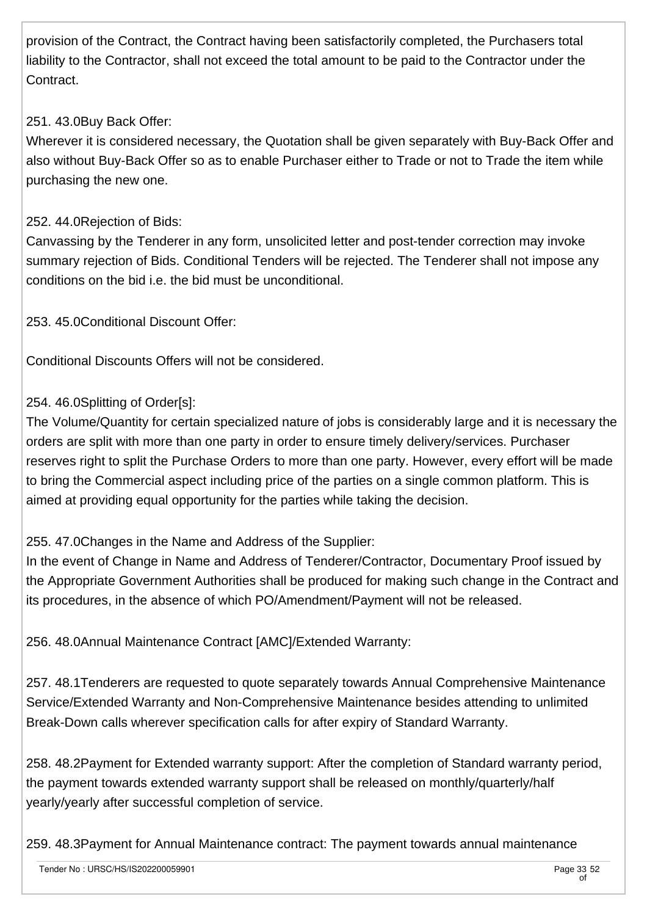provision of the Contract, the Contract having been satisfactorily completed, the Purchasers total liability to the Contractor, shall not exceed the total amount to be paid to the Contractor under the Contract.

### 251. 43.0Buy Back Offer:

Wherever it is considered necessary, the Quotation shall be given separately with Buy-Back Offer and also without Buy-Back Offer so as to enable Purchaser either to Trade or not to Trade the item while purchasing the new one.

#### 252. 44.0Rejection of Bids:

Canvassing by the Tenderer in any form, unsolicited letter and post-tender correction may invoke summary rejection of Bids. Conditional Tenders will be rejected. The Tenderer shall not impose any conditions on the bid i.e. the bid must be unconditional.

253. 45.0Conditional Discount Offer:

Conditional Discounts Offers will not be considered.

#### 254. 46.0Splitting of Order[s]:

The Volume/Quantity for certain specialized nature of jobs is considerably large and it is necessary the orders are split with more than one party in order to ensure timely delivery/services. Purchaser reserves right to split the Purchase Orders to more than one party. However, every effort will be made to bring the Commercial aspect including price of the parties on a single common platform. This is aimed at providing equal opportunity for the parties while taking the decision.

255. 47.0Changes in the Name and Address of the Supplier:

In the event of Change in Name and Address of Tenderer/Contractor, Documentary Proof issued by the Appropriate Government Authorities shall be produced for making such change in the Contract and its procedures, in the absence of which PO/Amendment/Payment will not be released.

256. 48.0Annual Maintenance Contract [AMC]/Extended Warranty:

257. 48.1Tenderers are requested to quote separately towards Annual Comprehensive Maintenance Service/Extended Warranty and Non-Comprehensive Maintenance besides attending to unlimited Break-Down calls wherever specification calls for after expiry of Standard Warranty.

258. 48.2Payment for Extended warranty support: After the completion of Standard warranty period, the payment towards extended warranty support shall be released on monthly/quarterly/half yearly/yearly after successful completion of service.

259. 48.3Payment for Annual Maintenance contract: The payment towards annual maintenance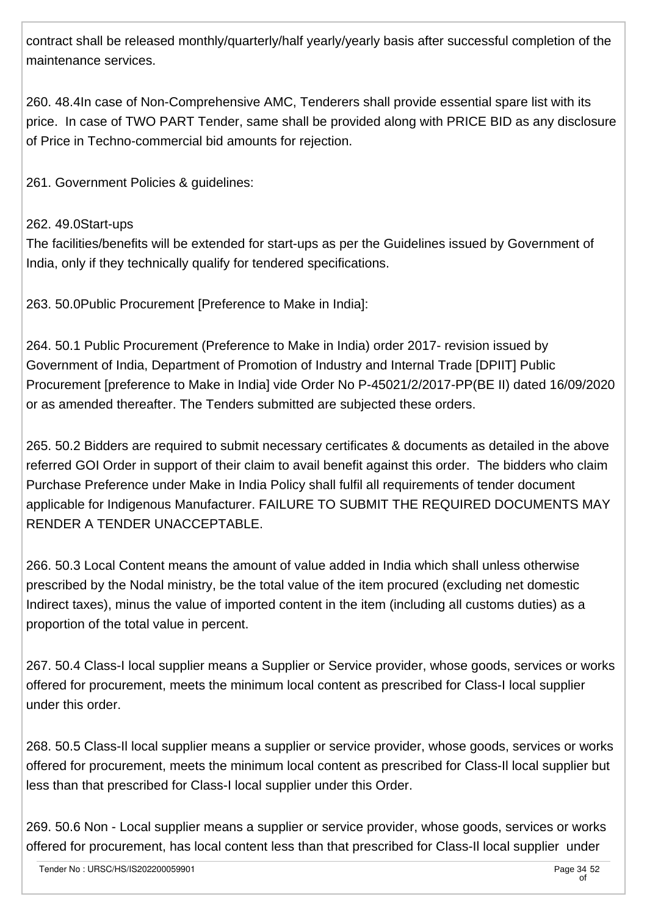contract shall be released monthly/quarterly/half yearly/yearly basis after successful completion of the maintenance services.

260. 48.4In case of Non-Comprehensive AMC, Tenderers shall provide essential spare list with its price. In case of TWO PART Tender, same shall be provided along with PRICE BID as any disclosure of Price in Techno-commercial bid amounts for rejection.

261. Government Policies & guidelines:

### 262. 49.0Start-ups

The facilities/benefits will be extended for start-ups as per the Guidelines issued by Government of India, only if they technically qualify for tendered specifications.

263. 50.0Public Procurement [Preference to Make in India]:

264. 50.1 Public Procurement (Preference to Make in India) order 2017- revision issued by Government of India, Department of Promotion of Industry and Internal Trade [DPIIT] Public Procurement [preference to Make in India] vide Order No P-45021/2/2017-PP(BE II) dated 16/09/2020 or as amended thereafter. The Tenders submitted are subjected these orders.

265. 50.2 Bidders are required to submit necessary certificates & documents as detailed in the above referred GOI Order in support of their claim to avail benefit against this order. The bidders who claim Purchase Preference under Make in India Policy shall fulfil all requirements of tender document applicable for Indigenous Manufacturer. FAILURE TO SUBMIT THE REQUIRED DOCUMENTS MAY RENDER A TENDER UNACCEPTABLE.

266. 50.3 Local Content means the amount of value added in India which shall unless otherwise prescribed by the Nodal ministry, be the total value of the item procured (excluding net domestic Indirect taxes), minus the value of imported content in the item (including all customs duties) as a proportion of the total value in percent.

267. 50.4 Class-I local supplier means a Supplier or Service provider, whose goods, services or works offered for procurement, meets the minimum local content as prescribed for Class-I local supplier under this order.

268. 50.5 Class-Il local supplier means a supplier or service provider, whose goods, services or works offered for procurement, meets the minimum local content as prescribed for Class-Il local supplier but less than that prescribed for Class-I local supplier under this Order.

269. 50.6 Non - Local supplier means a supplier or service provider, whose goods, services or works offered for procurement, has local content less than that prescribed for Class-Il local supplier under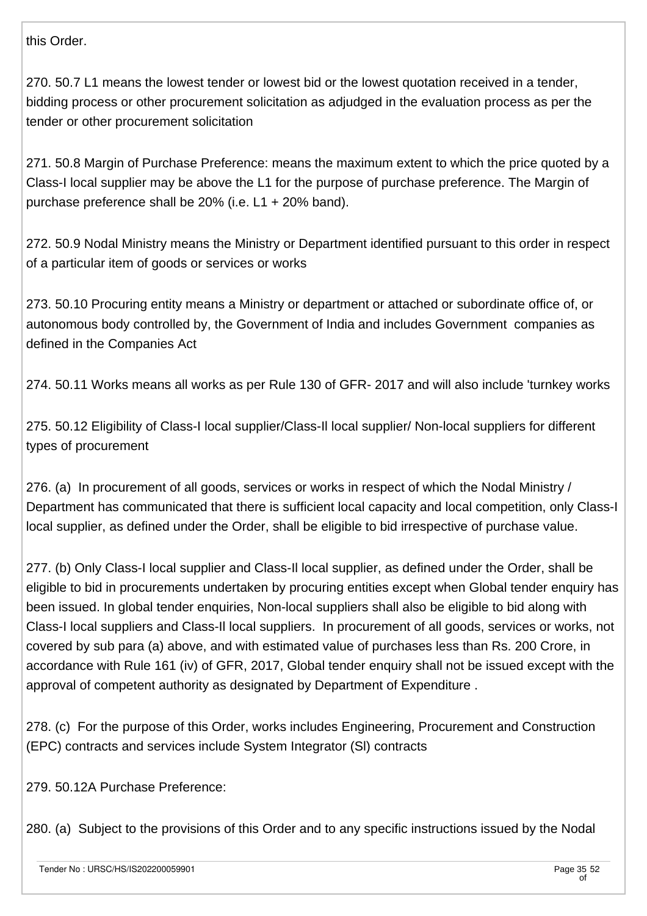this Order.

270. 50.7 L1 means the lowest tender or lowest bid or the lowest quotation received in a tender, bidding process or other procurement solicitation as adjudged in the evaluation process as per the tender or other procurement solicitation

271. 50.8 Margin of Purchase Preference: means the maximum extent to which the price quoted by a Class-I local supplier may be above the L1 for the purpose of purchase preference. The Margin of purchase preference shall be 20% (i.e. L1 + 20% band).

272. 50.9 Nodal Ministry means the Ministry or Department identified pursuant to this order in respect of a particular item of goods or services or works

273. 50.10 Procuring entity means a Ministry or department or attached or subordinate office of, or autonomous body controlled by, the Government of India and includes Government companies as defined in the Companies Act

274. 50.11 Works means all works as per Rule 130 of GFR- 2017 and will also include 'turnkey works

275. 50.12 Eligibility of Class-I local supplier/Class-Il local supplier/ Non-local suppliers for different types of procurement

276. (a) In procurement of all goods, services or works in respect of which the Nodal Ministry / Department has communicated that there is sufficient local capacity and local competition, only Class-I local supplier, as defined under the Order, shall be eligible to bid irrespective of purchase value.

277. (b) Only Class-I local supplier and Class-Il local supplier, as defined under the Order, shall be eligible to bid in procurements undertaken by procuring entities except when Global tender enquiry has been issued. In global tender enquiries, Non-local suppliers shall also be eligible to bid along with Class-I local suppliers and Class-Il local suppliers. In procurement of all goods, services or works, not covered by sub para (a) above, and with estimated value of purchases less than Rs. 200 Crore, in accordance with Rule 161 (iv) of GFR, 2017, Global tender enquiry shall not be issued except with the approval of competent authority as designated by Department of Expenditure .

278. (c) For the purpose of this Order, works includes Engineering, Procurement and Construction (EPC) contracts and services include System Integrator (Sl) contracts

279. 50.12A Purchase Preference:

280. (a) Subject to the provisions of this Order and to any specific instructions issued by the Nodal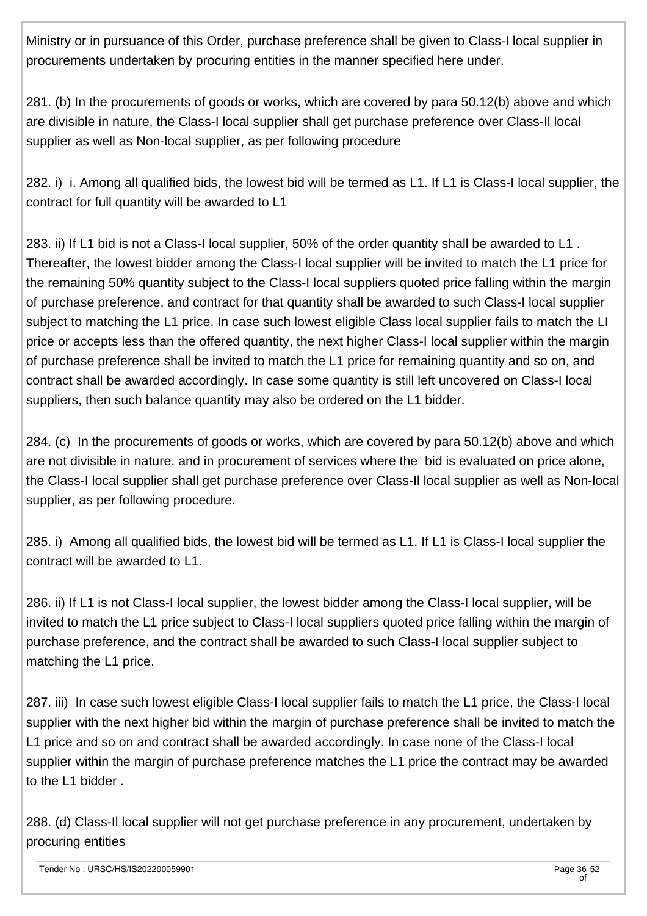Ministry or in pursuance of this Order, purchase preference shall be given to Class-I local supplier in procurements undertaken by procuring entities in the manner specified here under.

281. (b) In the procurements of goods or works, which are covered by para 50.12(b) above and which are divisible in nature, the Class-I local supplier shall get purchase preference over Class-Il local supplier as well as Non-local supplier, as per following procedure

282. i) i. Among all qualified bids, the lowest bid will be termed as L1. If L1 is Class-I local supplier, the contract for full quantity will be awarded to L1

283. ii) If L1 bid is not a Class-I local supplier, 50% of the order quantity shall be awarded to L1 . Thereafter, the lowest bidder among the Class-I local supplier will be invited to match the L1 price for the remaining 50% quantity subject to the Class-I local suppliers quoted price falling within the margin of purchase preference, and contract for that quantity shall be awarded to such Class-I local supplier subject to matching the L1 price. In case such lowest eligible Class local supplier fails to match the LI price or accepts less than the offered quantity, the next higher Class-I local supplier within the margin of purchase preference shall be invited to match the L1 price for remaining quantity and so on, and contract shall be awarded accordingly. In case some quantity is still left uncovered on Class-I local suppliers, then such balance quantity may also be ordered on the L1 bidder.

284. (c) In the procurements of goods or works, which are covered by para 50.12(b) above and which are not divisible in nature, and in procurement of services where the bid is evaluated on price alone, the Class-I local supplier shall get purchase preference over Class-Il local supplier as well as Non-local supplier, as per following procedure.

285. i) Among all qualified bids, the lowest bid will be termed as L1. If L1 is Class-I local supplier the contract will be awarded to L1.

286. ii) If L1 is not Class-I local supplier, the lowest bidder among the Class-I local supplier, will be invited to match the L1 price subject to Class-I local suppliers quoted price falling within the margin of purchase preference, and the contract shall be awarded to such Class-I local supplier subject to matching the L1 price.

287. iii) In case such lowest eligible Class-I local supplier fails to match the L1 price, the Class-I local supplier with the next higher bid within the margin of purchase preference shall be invited to match the L1 price and so on and contract shall be awarded accordingly. In case none of the Class-I local supplier within the margin of purchase preference matches the L1 price the contract may be awarded to the L1 bidder .

288. (d) Class-Il local supplier will not get purchase preference in any procurement, undertaken by procuring entities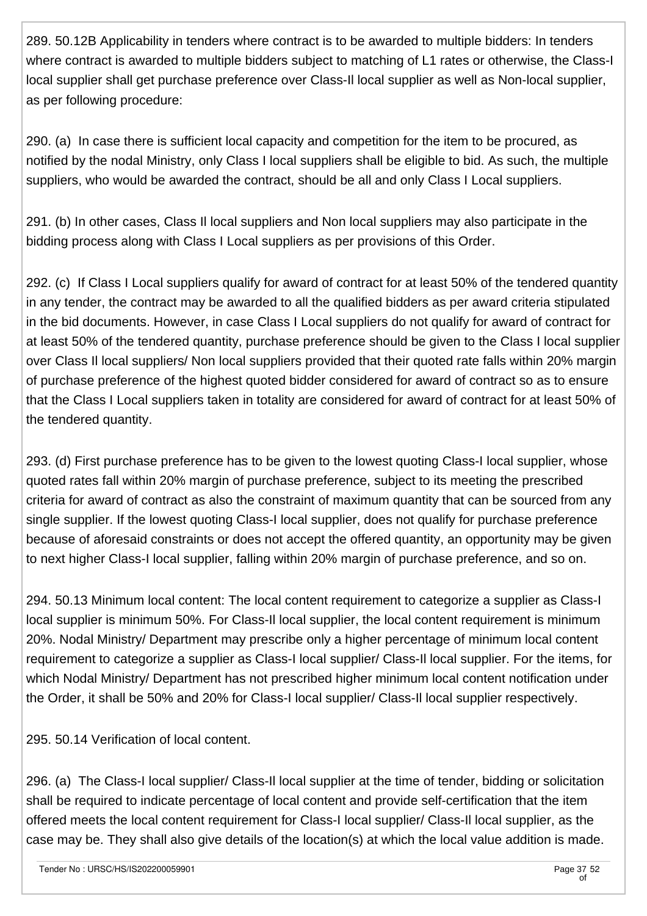289. 50.12B Applicability in tenders where contract is to be awarded to multiple bidders: In tenders where contract is awarded to multiple bidders subject to matching of L1 rates or otherwise, the Class-I local supplier shall get purchase preference over Class-Il local supplier as well as Non-local supplier, as per following procedure:

290. (a) In case there is sufficient local capacity and competition for the item to be procured, as notified by the nodal Ministry, only Class I local suppliers shall be eligible to bid. As such, the multiple suppliers, who would be awarded the contract, should be all and only Class I Local suppliers.

291. (b) In other cases, Class Il local suppliers and Non local suppliers may also participate in the bidding process along with Class I Local suppliers as per provisions of this Order.

292. (c) If Class I Local suppliers qualify for award of contract for at least 50% of the tendered quantity in any tender, the contract may be awarded to all the qualified bidders as per award criteria stipulated in the bid documents. However, in case Class I Local suppliers do not qualify for award of contract for at least 50% of the tendered quantity, purchase preference should be given to the Class I local supplier over Class Il local suppliers/ Non local suppliers provided that their quoted rate falls within 20% margin of purchase preference of the highest quoted bidder considered for award of contract so as to ensure that the Class I Local suppliers taken in totality are considered for award of contract for at least 50% of the tendered quantity.

293. (d) First purchase preference has to be given to the lowest quoting Class-I local supplier, whose quoted rates fall within 20% margin of purchase preference, subject to its meeting the prescribed criteria for award of contract as also the constraint of maximum quantity that can be sourced from any single supplier. If the lowest quoting Class-I local supplier, does not qualify for purchase preference because of aforesaid constraints or does not accept the offered quantity, an opportunity may be given to next higher Class-I local supplier, falling within 20% margin of purchase preference, and so on.

294. 50.13 Minimum local content: The local content requirement to categorize a supplier as Class-I local supplier is minimum 50%. For Class-Il local supplier, the local content requirement is minimum 20%. Nodal Ministry/ Department may prescribe only a higher percentage of minimum local content requirement to categorize a supplier as Class-I local supplier/ Class-Il local supplier. For the items, for which Nodal Ministry/ Department has not prescribed higher minimum local content notification under the Order, it shall be 50% and 20% for Class-I local supplier/ Class-Il local supplier respectively.

295. 50.14 Verification of local content.

296. (a) The Class-I local supplier/ Class-Il local supplier at the time of tender, bidding or solicitation shall be required to indicate percentage of local content and provide self-certification that the item offered meets the local content requirement for Class-I local supplier/ Class-Il local supplier, as the case may be. They shall also give details of the location(s) at which the local value addition is made.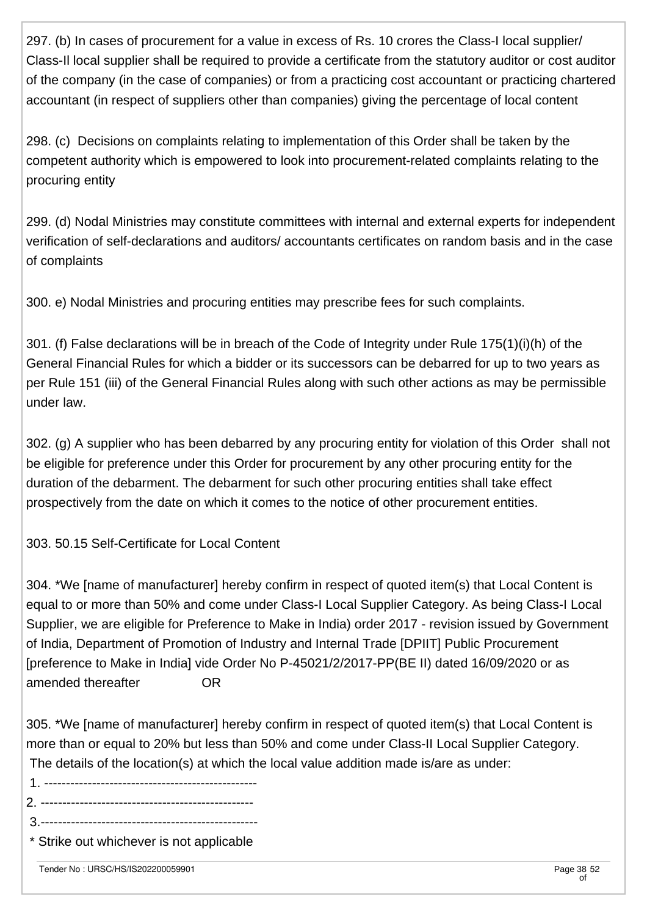297. (b) In cases of procurement for a value in excess of Rs. 10 crores the Class-I local supplier/ Class-Il local supplier shall be required to provide a certificate from the statutory auditor or cost auditor of the company (in the case of companies) or from a practicing cost accountant or practicing chartered accountant (in respect of suppliers other than companies) giving the percentage of local content

298. (c) Decisions on complaints relating to implementation of this Order shall be taken by the competent authority which is empowered to look into procurement-related complaints relating to the procuring entity

299. (d) Nodal Ministries may constitute committees with internal and external experts for independent verification of self-declarations and auditors/ accountants certificates on random basis and in the case of complaints

300. e) Nodal Ministries and procuring entities may prescribe fees for such complaints.

301. (f) False declarations will be in breach of the Code of Integrity under Rule 175(1)(i)(h) of the General Financial Rules for which a bidder or its successors can be debarred for up to two years as per Rule 151 (iii) of the General Financial Rules along with such other actions as may be permissible under law.

302. (g) A supplier who has been debarred by any procuring entity for violation of this Order shall not be eligible for preference under this Order for procurement by any other procuring entity for the duration of the debarment. The debarment for such other procuring entities shall take effect prospectively from the date on which it comes to the notice of other procurement entities.

303. 50.15 Self-Certificate for Local Content

304. \*We [name of manufacturer] hereby confirm in respect of quoted item(s) that Local Content is equal to or more than 50% and come under Class-I Local Supplier Category. As being Class-I Local Supplier, we are eligible for Preference to Make in India) order 2017 - revision issued by Government of India, Department of Promotion of Industry and Internal Trade [DPIIT] Public Procurement [preference to Make in India] vide Order No P-45021/2/2017-PP(BE II) dated 16/09/2020 or as amended thereafter OR

305. \*We [name of manufacturer] hereby confirm in respect of quoted item(s) that Local Content is more than or equal to 20% but less than 50% and come under Class-II Local Supplier Category. The details of the location(s) at which the local value addition made is/are as under:

- 1. -------------------------------------------------
- 2. -------------------------------------------------
- 3.--------------------------------------------------
- \* Strike out whichever is not applicable

Tender No : URSC/HS/IS202200059901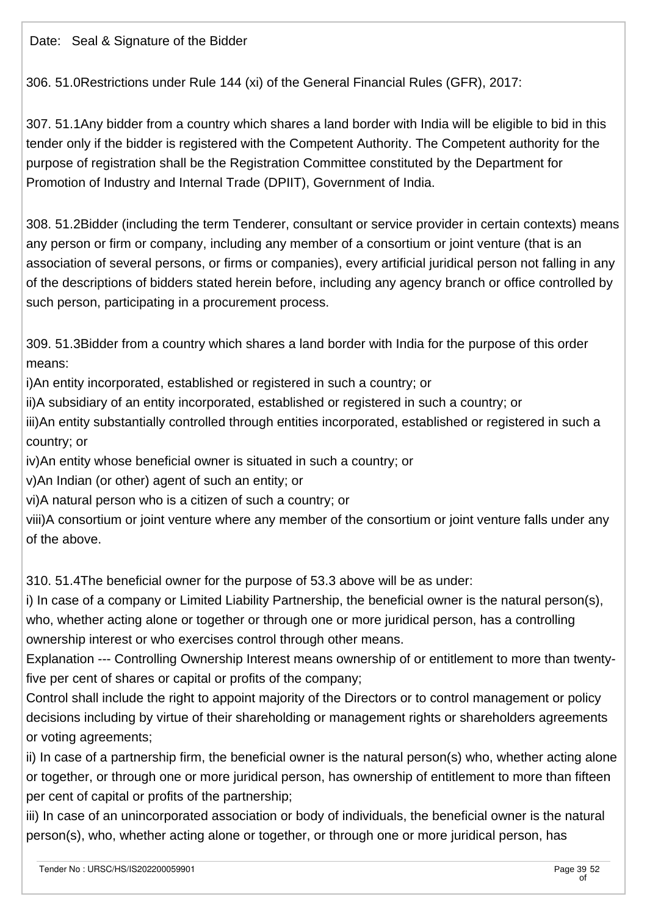Date: Seal & Signature of the Bidder

306. 51.0Restrictions under Rule 144 (xi) of the General Financial Rules (GFR), 2017:

307. 51.1Any bidder from a country which shares a land border with India will be eligible to bid in this tender only if the bidder is registered with the Competent Authority. The Competent authority for the purpose of registration shall be the Registration Committee constituted by the Department for Promotion of Industry and Internal Trade (DPIIT), Government of India.

308. 51.2Bidder (including the term Tenderer, consultant or service provider in certain contexts) means any person or firm or company, including any member of a consortium or joint venture (that is an association of several persons, or firms or companies), every artificial juridical person not falling in any of the descriptions of bidders stated herein before, including any agency branch or office controlled by such person, participating in a procurement process.

309. 51.3Bidder from a country which shares a land border with India for the purpose of this order means:

i)An entity incorporated, established or registered in such a country; or

ii)A subsidiary of an entity incorporated, established or registered in such a country; or

iii)An entity substantially controlled through entities incorporated, established or registered in such a country; or

iv)An entity whose beneficial owner is situated in such a country; or

v)An Indian (or other) agent of such an entity; or

vi)A natural person who is a citizen of such a country; or

viii)A consortium or joint venture where any member of the consortium or joint venture falls under any of the above.

310. 51.4The beneficial owner for the purpose of 53.3 above will be as under:

i) In case of a company or Limited Liability Partnership, the beneficial owner is the natural person(s), who, whether acting alone or together or through one or more juridical person, has a controlling ownership interest or who exercises control through other means.

Explanation --- Controlling Ownership Interest means ownership of or entitlement to more than twentyfive per cent of shares or capital or profits of the company;

Control shall include the right to appoint majority of the Directors or to control management or policy decisions including by virtue of their shareholding or management rights or shareholders agreements or voting agreements;

ii) In case of a partnership firm, the beneficial owner is the natural person(s) who, whether acting alone or together, or through one or more juridical person, has ownership of entitlement to more than fifteen per cent of capital or profits of the partnership;

iii) In case of an unincorporated association or body of individuals, the beneficial owner is the natural person(s), who, whether acting alone or together, or through one or more juridical person, has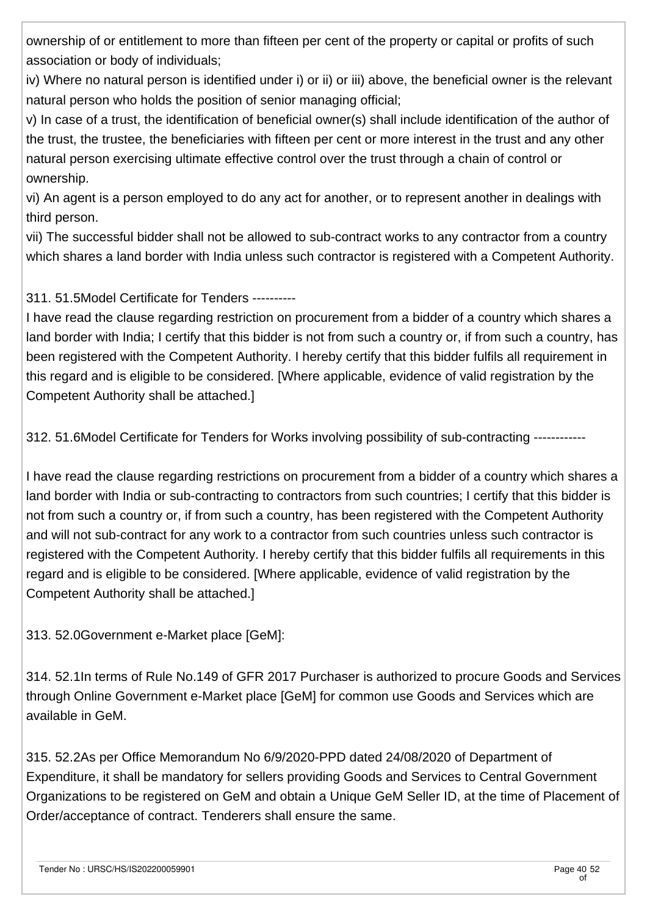ownership of or entitlement to more than fifteen per cent of the property or capital or profits of such association or body of individuals;

iv) Where no natural person is identified under i) or ii) or iii) above, the beneficial owner is the relevant natural person who holds the position of senior managing official;

v) In case of a trust, the identification of beneficial owner(s) shall include identification of the author of the trust, the trustee, the beneficiaries with fifteen per cent or more interest in the trust and any other natural person exercising ultimate effective control over the trust through a chain of control or ownership.

vi) An agent is a person employed to do any act for another, or to represent another in dealings with third person.

vii) The successful bidder shall not be allowed to sub-contract works to any contractor from a country which shares a land border with India unless such contractor is registered with a Competent Authority.

### 311. 51.5Model Certificate for Tenders ----------

I have read the clause regarding restriction on procurement from a bidder of a country which shares a land border with India; I certify that this bidder is not from such a country or, if from such a country, has been registered with the Competent Authority. I hereby certify that this bidder fulfils all requirement in this regard and is eligible to be considered. [Where applicable, evidence of valid registration by the Competent Authority shall be attached.]

312. 51.6Model Certificate for Tenders for Works involving possibility of sub-contracting ------------

I have read the clause regarding restrictions on procurement from a bidder of a country which shares a land border with India or sub-contracting to contractors from such countries; I certify that this bidder is not from such a country or, if from such a country, has been registered with the Competent Authority and will not sub-contract for any work to a contractor from such countries unless such contractor is registered with the Competent Authority. I hereby certify that this bidder fulfils all requirements in this regard and is eligible to be considered. [Where applicable, evidence of valid registration by the Competent Authority shall be attached.]

313. 52.0Government e-Market place [GeM]:

314. 52.1In terms of Rule No.149 of GFR 2017 Purchaser is authorized to procure Goods and Services through Online Government e-Market place [GeM] for common use Goods and Services which are available in GeM.

315. 52.2As per Office Memorandum No 6/9/2020-PPD dated 24/08/2020 of Department of Expenditure, it shall be mandatory for sellers providing Goods and Services to Central Government Organizations to be registered on GeM and obtain a Unique GeM Seller ID, at the time of Placement of Order/acceptance of contract. Tenderers shall ensure the same.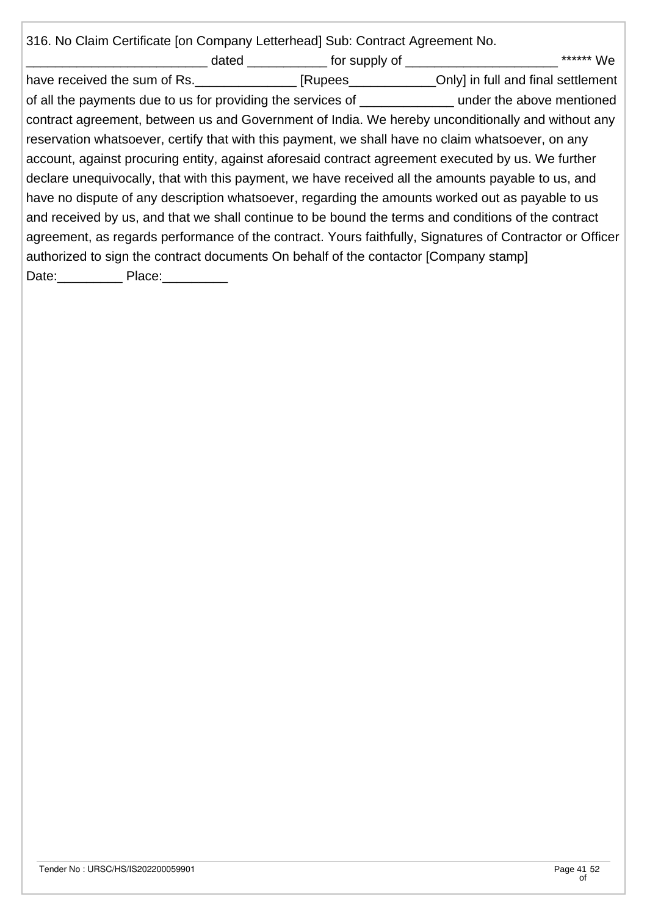| 316. No Claim Certificate [on Company Letterhead] Sub: Contract Agreement No.        |  |                                                                                                          |
|--------------------------------------------------------------------------------------|--|----------------------------------------------------------------------------------------------------------|
|                                                                                      |  | ****** We                                                                                                |
|                                                                                      |  | have received the sum of Rs. _______________ [Rupees______________Only] in full and final settlement     |
|                                                                                      |  | of all the payments due to us for providing the services of ________________ under the above mentioned   |
|                                                                                      |  | contract agreement, between us and Government of India. We hereby unconditionally and without any        |
|                                                                                      |  | reservation whatsoever, certify that with this payment, we shall have no claim whatsoever, on any        |
|                                                                                      |  | account, against procuring entity, against aforesaid contract agreement executed by us. We further       |
|                                                                                      |  | declare unequivocally, that with this payment, we have received all the amounts payable to us, and       |
|                                                                                      |  | have no dispute of any description whatsoever, regarding the amounts worked out as payable to us         |
|                                                                                      |  | and received by us, and that we shall continue to be bound the terms and conditions of the contract      |
|                                                                                      |  | agreement, as regards performance of the contract. Yours faithfully, Signatures of Contractor or Officer |
| authorized to sign the contract documents On behalf of the contactor [Company stamp] |  |                                                                                                          |
| Date: Place: Place:                                                                  |  |                                                                                                          |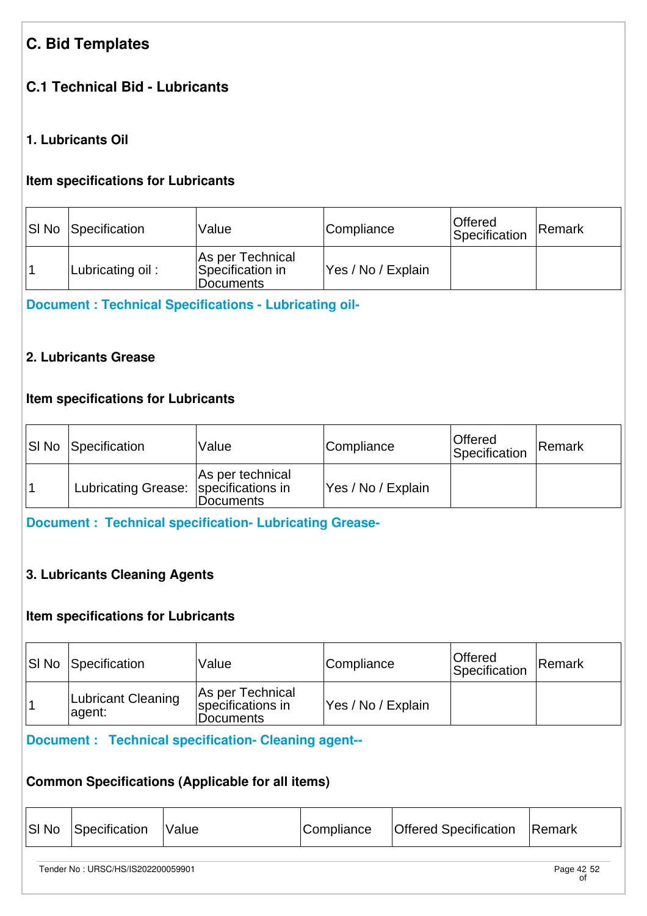# **C. Bid Templates**

# **C.1 Technical Bid - Lubricants**

## **1. Lubricants Oil**

### **Item specifications for Lubricants**

| SI No Specification | Value                                             | Compliance         | ∣Offered<br>Specification | Remark |
|---------------------|---------------------------------------------------|--------------------|---------------------------|--------|
| Lubricating oil:    | As per Technical<br>Specification in<br>Documents | Yes / No / Explain |                           |        |

**[Document : Technical Specifications - Lubricating oil-](https://eproc.isro.gov.in/common/viewDocument?id=ff8081817fd8e1f101804065e7a34771&indentId=IS2022000599)**

### **2. Lubricants Grease**

## **Item specifications for Lubricants**

| <b>SI No Specification</b>            | Value                         | Compliance         | Offered<br>Specification | <b>Remark</b> |
|---------------------------------------|-------------------------------|--------------------|--------------------------|---------------|
| Lubricating Grease: specifications in | As per technical<br>Documents | Yes / No / Explain |                          |               |

**[Document : Technical specification- Lubricating Grease-](https://eproc.isro.gov.in/common/viewDocument?id=ff8081817fd8e1f101804065a726476f&indentId=IS2022000599)**

# **3. Lubricants Cleaning Agents**

### **Item specifications for Lubricants**

| <b>SI No Specification</b>   | <i>Value</i>                                              | Compliance         | <b>Offered</b><br>Specification | Remark |
|------------------------------|-----------------------------------------------------------|--------------------|---------------------------------|--------|
| Lubricant Cleaning<br>agent: | As per Technical<br>specifications in<br><b>Documents</b> | Yes / No / Explain |                                 |        |

# **[Document : Technical specification- Cleaning agent--](https://eproc.isro.gov.in/common/viewDocument?id=ff8081817fd8e1f1018040662ade4772&indentId=IS2022000599)**

# **Common Specifications (Applicable for all items)**

| SI No | Specification | <i><b>Value</b></i> | Compliance | <b>Offered Specification</b> | Remark |
|-------|---------------|---------------------|------------|------------------------------|--------|
|-------|---------------|---------------------|------------|------------------------------|--------|

Tender No : URSC/HS/IS202200059901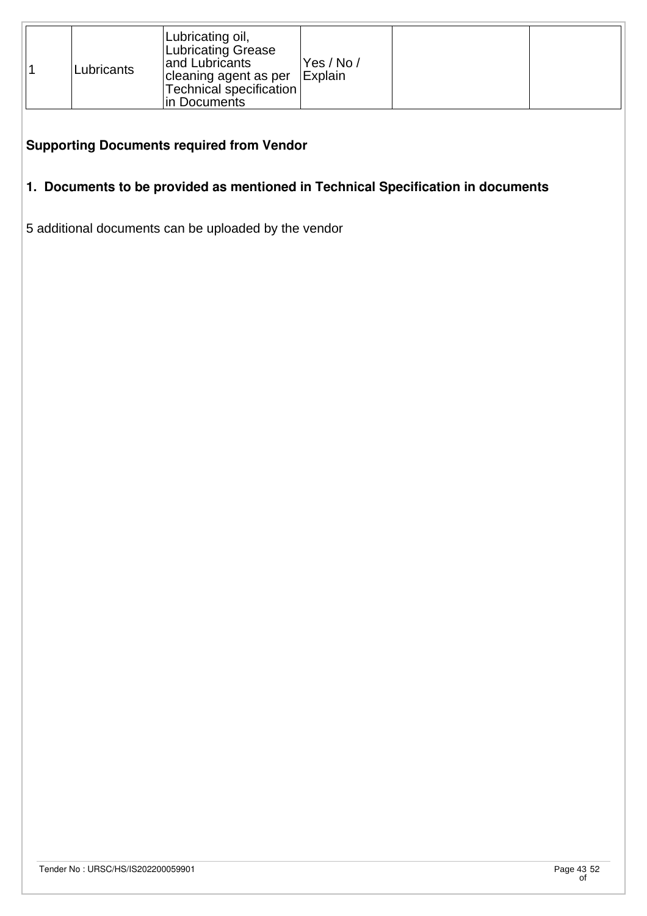|  | Lubricants | Lubricating oil,<br>Lubricating Grease<br>and Lubricants<br>cleaning agent as per   Explain<br>Technical specification  <br>lin Documents | Yes / No / |  |  |
|--|------------|-------------------------------------------------------------------------------------------------------------------------------------------|------------|--|--|
|--|------------|-------------------------------------------------------------------------------------------------------------------------------------------|------------|--|--|

### **Supporting Documents required from Vendor**

# **1. Documents to be provided as mentioned in Technical Specification in documents**

5 additional documents can be uploaded by the vendor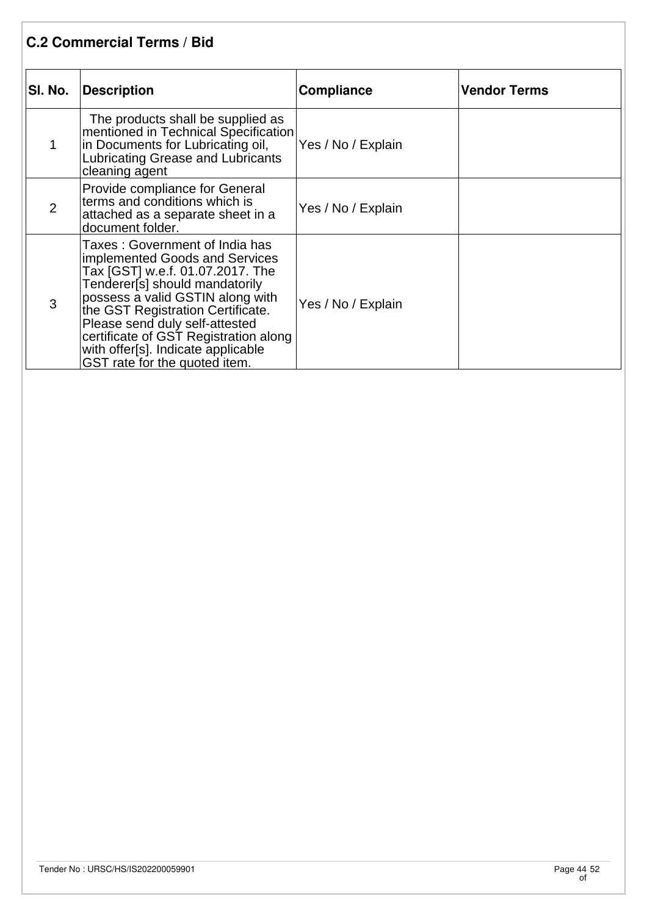| <b>C.2 Commercial Terms / Bid</b> |                                                                                                                                                                                                                                                                                                                                                                   |                    |                     |  |
|-----------------------------------|-------------------------------------------------------------------------------------------------------------------------------------------------------------------------------------------------------------------------------------------------------------------------------------------------------------------------------------------------------------------|--------------------|---------------------|--|
| SI. No.                           | <b>Description</b>                                                                                                                                                                                                                                                                                                                                                | <b>Compliance</b>  | <b>Vendor Terms</b> |  |
| 1                                 | The products shall be supplied as<br>mentioned in Technical Specification<br>in Documents for Lubricating oil,<br>Lubricating Grease and Lubricants<br>cleaning agent                                                                                                                                                                                             | Yes / No / Explain |                     |  |
| $\overline{2}$                    | Provide compliance for General<br>terms and conditions which is<br>attached as a separate sheet in a<br>document folder.                                                                                                                                                                                                                                          | Yes / No / Explain |                     |  |
| 3                                 | Taxes: Government of India has<br>implemented Goods and Services<br>Tax [GST] w.e.f. 01.07.2017. The<br>Tenderer[s] should mandatorily<br>possess a valid GSTIN along with<br>the GST Registration Certificate.<br>Please send duly self-attested<br>certificate of GST Registration along<br>with offer[s]. Indicate applicable<br>GST rate for the quoted item. | Yes / No / Explain |                     |  |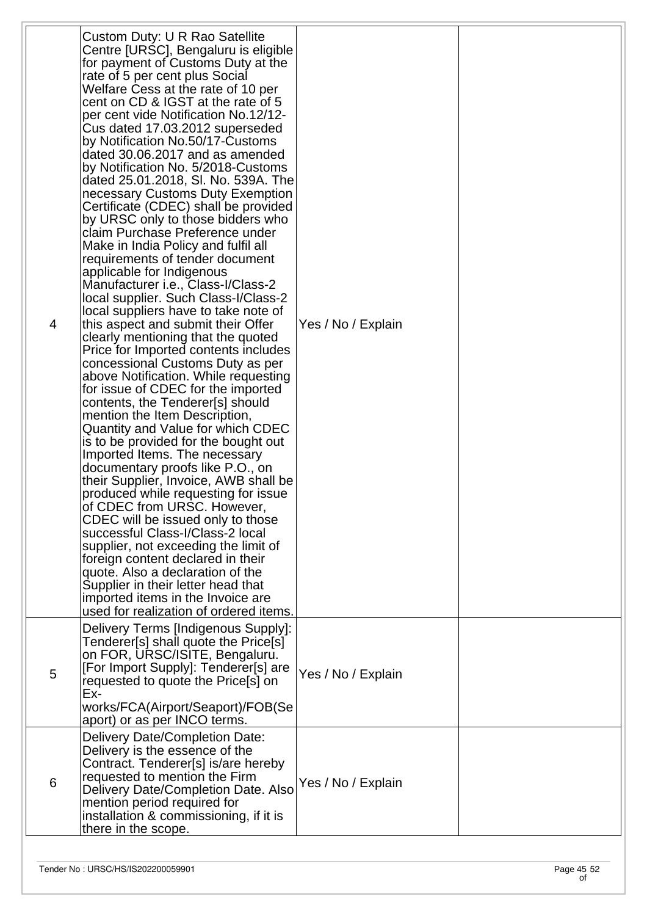| 4               | Custom Duty: U R Rao Satellite<br>Centre [URSC], Bengaluru is eligible<br>for payment of Customs Duty at the<br>rate of 5 per cent plus Social<br>Welfare Cess at the rate of 10 per<br>cent on CD & IGST at the rate of 5<br>per cent vide Notification No.12/12-<br>Cus dated 17.03.2012 superseded<br>by Notification No.50/17-Customs<br>dated 30.06.2017 and as amended<br>by Notification No. 5/2018-Customs<br>dated 25.01.2018, SI. No. 539A. The<br>necessary Customs Duty Exemption<br>Certificate (CDEC) shall be provided<br>by URSC only to those bidders who<br>claim Purchase Preference under<br>Make in India Policy and fulfil all<br>requirements of tender document<br>applicable for Indigenous<br>Manufacturer i.e., Class-I/Class-2<br>local supplier. Such Class-I/Class-2<br>local suppliers have to take note of<br>this aspect and submit their Offer<br>clearly mentioning that the quoted<br>Price for Imported contents includes<br>concessional Customs Duty as per<br>above Notification. While requesting<br>for issue of CDEC for the imported<br>contents, the Tenderer[s] should<br>mention the Item Description,<br>Quantity and Value for which CDEC<br>is to be provided for the bought out<br>Imported Items. The necessary<br>documentary proofs like P.O., on<br>their Supplier, Invoice, AWB shall be<br>produced while requesting for issue<br>of CDEC from URSC. However,<br>CDEC will be issued only to those<br>successful Class-I/Class-2 local<br>supplier, not exceeding the limit of<br>foreign content declared in their<br>quote. Also a declaration of the<br>Supplier in their letter head that<br>imported items in the Invoice are<br>used for realization of ordered items. | Yes / No / Explain |  |
|-----------------|---------------------------------------------------------------------------------------------------------------------------------------------------------------------------------------------------------------------------------------------------------------------------------------------------------------------------------------------------------------------------------------------------------------------------------------------------------------------------------------------------------------------------------------------------------------------------------------------------------------------------------------------------------------------------------------------------------------------------------------------------------------------------------------------------------------------------------------------------------------------------------------------------------------------------------------------------------------------------------------------------------------------------------------------------------------------------------------------------------------------------------------------------------------------------------------------------------------------------------------------------------------------------------------------------------------------------------------------------------------------------------------------------------------------------------------------------------------------------------------------------------------------------------------------------------------------------------------------------------------------------------------------------------------------------------------------------------------------------------------|--------------------|--|
| 5               | Delivery Terms [Indigenous Supply]:<br>Tenderer[s] shall quote the Price[s]<br>on FOR, URSC/ISITE, Bengaluru.<br>[For Import Supply]: Tenderer[s] are<br>requested to quote the Price[s] on<br>Ex-<br>works/FCA(Airport/Seaport)/FOB(Se<br>aport) or as per INCO terms.                                                                                                                                                                                                                                                                                                                                                                                                                                                                                                                                                                                                                                                                                                                                                                                                                                                                                                                                                                                                                                                                                                                                                                                                                                                                                                                                                                                                                                                               | Yes / No / Explain |  |
| $6\phantom{1}6$ | Delivery Date/Completion Date:<br>Delivery is the essence of the<br>Contract. Tenderer[s] is/are hereby<br>requested to mention the Firm<br>Delivery Date/Completion Date. Also<br>mention period required for<br>installation & commissioning, if it is<br>there in the scope.                                                                                                                                                                                                                                                                                                                                                                                                                                                                                                                                                                                                                                                                                                                                                                                                                                                                                                                                                                                                                                                                                                                                                                                                                                                                                                                                                                                                                                                       | Yes / No / Explain |  |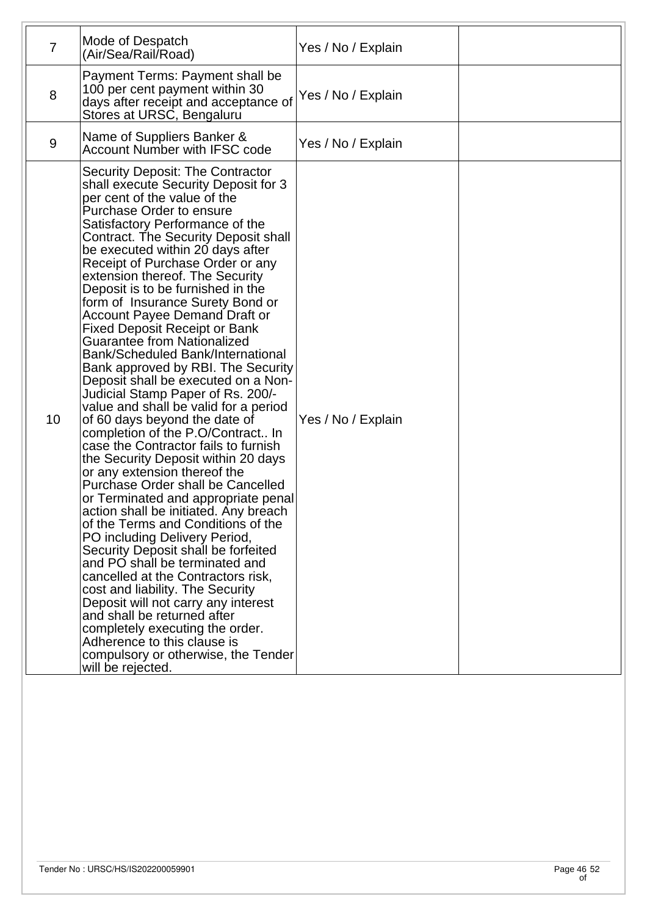| Payment Terms: Payment shall be<br>100 per cent payment within 30<br>8<br>Yes / No / Explain<br>days after receipt and acceptance of<br>Stores at URSC, Bengaluru<br>Name of Suppliers Banker &<br>9<br>Yes / No / Explain<br><b>Account Number with IFSC code</b><br>Security Deposit: The Contractor<br>shall execute Security Deposit for 3<br>per cent of the value of the<br>Purchase Order to ensure<br>Satisfactory Performance of the<br>Contract. The Security Deposit shall<br>be executed within 20 days after<br>Receipt of Purchase Order or any<br>extension thereof. The Security<br>Deposit is to be furnished in the<br>form of Insurance Surety Bond or<br><b>Account Payee Demand Draft or</b><br><b>Fixed Deposit Receipt or Bank</b><br><b>Guarantee from Nationalized</b><br><b>Bank/Scheduled Bank/International</b><br>Bank approved by RBI. The Security<br>Deposit shall be executed on a Non-<br>Judicial Stamp Paper of Rs. 200/-<br>value and shall be valid for a period<br>10 <sup>1</sup><br>of 60 days beyond the date of<br>Yes / No / Explain<br>completion of the P.O/Contract In<br>case the Contractor fails to furnish<br>the Security Deposit within 20 days<br>or any extension thereof the<br><b>Purchase Order shall be Cancelled</b><br>or Terminated and appropriate penal<br>action shall be initiated. Any breach<br>of the Terms and Conditions of the<br>PO including Delivery Period,<br>Security Deposit shall be forfeited<br>and PO shall be terminated and<br>cancelled at the Contractors risk,<br>cost and liability. The Security<br>Deposit will not carry any interest<br>and shall be returned after<br>completely executing the order.<br>Adherence to this clause is | $\overline{7}$ | Mode of Despatch<br>(Air/Sea/Rail/Road) | Yes / No / Explain |  |
|------------------------------------------------------------------------------------------------------------------------------------------------------------------------------------------------------------------------------------------------------------------------------------------------------------------------------------------------------------------------------------------------------------------------------------------------------------------------------------------------------------------------------------------------------------------------------------------------------------------------------------------------------------------------------------------------------------------------------------------------------------------------------------------------------------------------------------------------------------------------------------------------------------------------------------------------------------------------------------------------------------------------------------------------------------------------------------------------------------------------------------------------------------------------------------------------------------------------------------------------------------------------------------------------------------------------------------------------------------------------------------------------------------------------------------------------------------------------------------------------------------------------------------------------------------------------------------------------------------------------------------------------------------------------------------------------------------------------------------|----------------|-----------------------------------------|--------------------|--|
|                                                                                                                                                                                                                                                                                                                                                                                                                                                                                                                                                                                                                                                                                                                                                                                                                                                                                                                                                                                                                                                                                                                                                                                                                                                                                                                                                                                                                                                                                                                                                                                                                                                                                                                                    |                |                                         |                    |  |
|                                                                                                                                                                                                                                                                                                                                                                                                                                                                                                                                                                                                                                                                                                                                                                                                                                                                                                                                                                                                                                                                                                                                                                                                                                                                                                                                                                                                                                                                                                                                                                                                                                                                                                                                    |                |                                         |                    |  |
| will be rejected.                                                                                                                                                                                                                                                                                                                                                                                                                                                                                                                                                                                                                                                                                                                                                                                                                                                                                                                                                                                                                                                                                                                                                                                                                                                                                                                                                                                                                                                                                                                                                                                                                                                                                                                  |                | compulsory or otherwise, the Tender     |                    |  |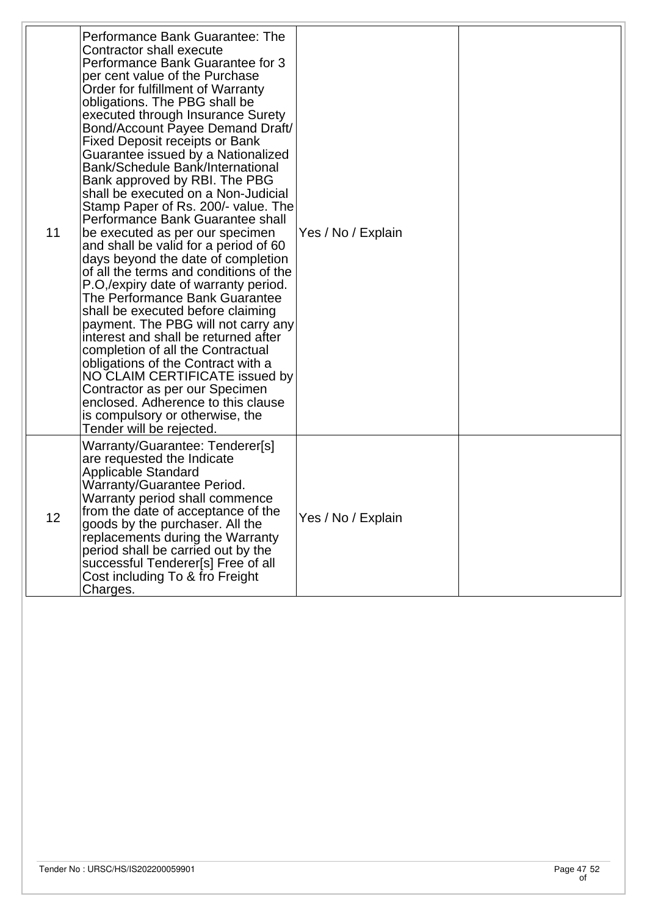| 11 | Performance Bank Guarantee: The<br>Contractor shall execute<br>Performance Bank Guarantee for 3<br>per cent value of the Purchase<br>Order for fulfillment of Warranty<br>obligations. The PBG shall be<br>executed through Insurance Surety<br>Bond/Account Payee Demand Draft/<br><b>Fixed Deposit receipts or Bank</b><br>Guarantee issued by a Nationalized<br>Bank/Schedule Bank/International<br>Bank approved by RBI. The PBG<br>shall be executed on a Non-Judicial<br>Stamp Paper of Rs. 200/- value. The<br>Performance Bank Guarantee shall<br>be executed as per our specimen<br>and shall be valid for a period of 60<br>days beyond the date of completion<br>of all the terms and conditions of the<br>P.O,/expiry date of warranty period.<br>The Performance Bank Guarantee<br>shall be executed before claiming<br>payment. The PBG will not carry any<br>interest and shall be returned after<br>completion of all the Contractual<br>obligations of the Contract with a<br>NO CLAIM CERTIFICATE issued by<br>Contractor as per our Specimen<br>enclosed. Adherence to this clause<br>is compulsory or otherwise, the<br>Tender will be rejected. | Yes / No / Explain |  |
|----|----------------------------------------------------------------------------------------------------------------------------------------------------------------------------------------------------------------------------------------------------------------------------------------------------------------------------------------------------------------------------------------------------------------------------------------------------------------------------------------------------------------------------------------------------------------------------------------------------------------------------------------------------------------------------------------------------------------------------------------------------------------------------------------------------------------------------------------------------------------------------------------------------------------------------------------------------------------------------------------------------------------------------------------------------------------------------------------------------------------------------------------------------------------------|--------------------|--|
| 12 | Warranty/Guarantee: Tenderer[s]<br>are requested the Indicate<br>Applicable Standard<br>Warranty/Guarantee Period.<br>Warranty period shall commence<br>from the date of acceptance of the<br>goods by the purchaser. All the<br>replacements during the Warranty<br>period shall be carried out by the<br>successful Tenderer[s] Free of all<br>Cost including To & fro Freight<br>Charges.                                                                                                                                                                                                                                                                                                                                                                                                                                                                                                                                                                                                                                                                                                                                                                         | Yes / No / Explain |  |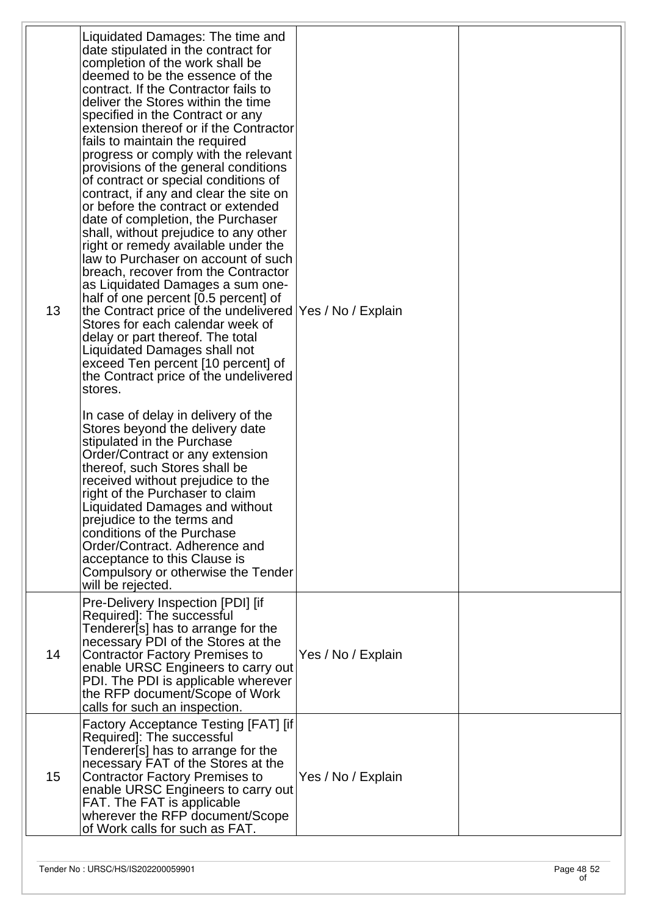| 13 | Liquidated Damages: The time and<br>date stipulated in the contract for<br>completion of the work shall be<br>deemed to be the essence of the<br>contract. If the Contractor fails to<br>deliver the Stores within the time<br>specified in the Contract or any<br>extension thereof or if the Contractor<br>fails to maintain the required<br>progress or comply with the relevant<br>provisions of the general conditions<br>of contract or special conditions of<br>contract, if any and clear the site on<br>or before the contract or extended<br>date of completion, the Purchaser<br>shall, without prejudice to any other<br>right or remedy available under the<br>law to Purchaser on account of such<br>breach, recover from the Contractor<br>as Liquidated Damages a sum one-<br>half of one percent [0.5 percent] of<br>the Contract price of the undelivered   Yes / No / Explain<br>Stores for each calendar week of<br>delay or part thereof. The total<br>Liquidated Damages shall not<br>exceed Ten percent [10 percent] of<br>the Contract price of the undelivered<br>stores.<br>In case of delay in delivery of the<br>Stores beyond the delivery date<br>stipulated in the Purchase<br>Order/Contract or any extension<br>thereof, such Stores shall be<br>received without prejudice to the<br>right of the Purchaser to claim<br>Liquidated Damages and without<br>prejudice to the terms and<br>conditions of the Purchase<br>Order/Contract. Adherence and<br>acceptance to this Clause is<br>Compulsory or otherwise the Tender<br>will be rejected. |                    |  |
|----|----------------------------------------------------------------------------------------------------------------------------------------------------------------------------------------------------------------------------------------------------------------------------------------------------------------------------------------------------------------------------------------------------------------------------------------------------------------------------------------------------------------------------------------------------------------------------------------------------------------------------------------------------------------------------------------------------------------------------------------------------------------------------------------------------------------------------------------------------------------------------------------------------------------------------------------------------------------------------------------------------------------------------------------------------------------------------------------------------------------------------------------------------------------------------------------------------------------------------------------------------------------------------------------------------------------------------------------------------------------------------------------------------------------------------------------------------------------------------------------------------------------------------------------------------------------------------------|--------------------|--|
| 14 | Pre-Delivery Inspection [PDI] [if<br>Required]: The successful<br>Tenderer[s] has to arrange for the<br>necessary PDI of the Stores at the<br><b>Contractor Factory Premises to</b><br>enable URSC Engineers to carry out<br>PDI. The PDI is applicable wherever<br>the RFP document/Scope of Work<br>calls for such an inspection.                                                                                                                                                                                                                                                                                                                                                                                                                                                                                                                                                                                                                                                                                                                                                                                                                                                                                                                                                                                                                                                                                                                                                                                                                                              | Yes / No / Explain |  |
| 15 | Factory Acceptance Testing [FAT] [if]<br>Required]: The successful<br>Tenderer[s] has to arrange for the<br>necessary FAT of the Stores at the<br><b>Contractor Factory Premises to</b><br>enable URSC Engineers to carry out<br>FAT. The FAT is applicable<br>wherever the RFP document/Scope<br>of Work calls for such as FAT.                                                                                                                                                                                                                                                                                                                                                                                                                                                                                                                                                                                                                                                                                                                                                                                                                                                                                                                                                                                                                                                                                                                                                                                                                                                 | Yes / No / Explain |  |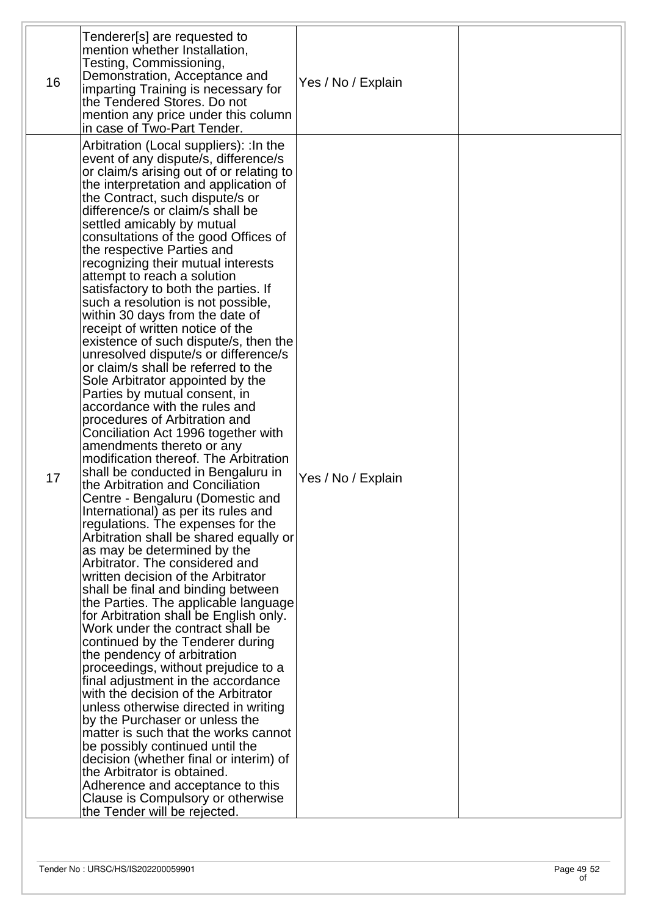| 16 | Tenderer[s] are requested to<br>mention whether Installation,<br>Testing, Commissioning,<br>Demonstration, Acceptance and<br>imparting Training is necessary for<br>the Tendered Stores. Do not<br>mention any price under this column<br>in case of Two-Part Tender.                                                                                                                                                                                                                                                                                                                                                                                                                                                                                                                                                                                                                                                                                                                                                                                                                                                                                                                                                                                                                                                                                                                                                                                                                                                                                                                                                                                                                                                                                                                                                                                                                                                                                                                      | Yes / No / Explain |  |
|----|--------------------------------------------------------------------------------------------------------------------------------------------------------------------------------------------------------------------------------------------------------------------------------------------------------------------------------------------------------------------------------------------------------------------------------------------------------------------------------------------------------------------------------------------------------------------------------------------------------------------------------------------------------------------------------------------------------------------------------------------------------------------------------------------------------------------------------------------------------------------------------------------------------------------------------------------------------------------------------------------------------------------------------------------------------------------------------------------------------------------------------------------------------------------------------------------------------------------------------------------------------------------------------------------------------------------------------------------------------------------------------------------------------------------------------------------------------------------------------------------------------------------------------------------------------------------------------------------------------------------------------------------------------------------------------------------------------------------------------------------------------------------------------------------------------------------------------------------------------------------------------------------------------------------------------------------------------------------------------------------|--------------------|--|
| 17 | Arbitration (Local suppliers): : In the<br>event of any dispute/s, difference/s<br>or claim/s arising out of or relating to<br>the interpretation and application of<br>the Contract, such dispute/s or<br>difference/s or claim/s shall be<br>settled amicably by mutual<br>consultations of the good Offices of<br>the respective Parties and<br>recognizing their mutual interests<br>attempt to reach a solution<br>satisfactory to both the parties. If<br>such a resolution is not possible,<br>within 30 days from the date of<br>receipt of written notice of the<br>existence of such dispute/s, then the<br>unresolved dispute/s or difference/s<br>or claim/s shall be referred to the<br>Sole Arbitrator appointed by the<br>Parties by mutual consent, in<br>accordance with the rules and<br>procedures of Arbitration and<br>Conciliation Act 1996 together with<br>amendments thereto or any<br>modification thereof. The Arbitration<br>shall be conducted in Bengaluru in<br>the Arbitration and Conciliation<br>Centre - Bengaluru (Domestic and<br>International) as per its rules and<br>regulations. The expenses for the<br>Arbitration shall be shared equally or<br>as may be determined by the<br>Arbitrator. The considered and<br>written decision of the Arbitrator<br>shall be final and binding between<br>the Parties. The applicable language<br>for Arbitration shall be English only.<br>Work under the contract shall be<br>continued by the Tenderer during<br>the pendency of arbitration<br>proceedings, without prejudice to a<br>final adjustment in the accordance<br>with the decision of the Arbitrator<br>unless otherwise directed in writing<br>by the Purchaser or unless the<br>matter is such that the works cannot<br>be possibly continued until the<br>decision (whether final or interim) of<br>the Arbitrator is obtained.<br>Adherence and acceptance to this<br>Clause is Compulsory or otherwise<br>the Tender will be rejected. | Yes / No / Explain |  |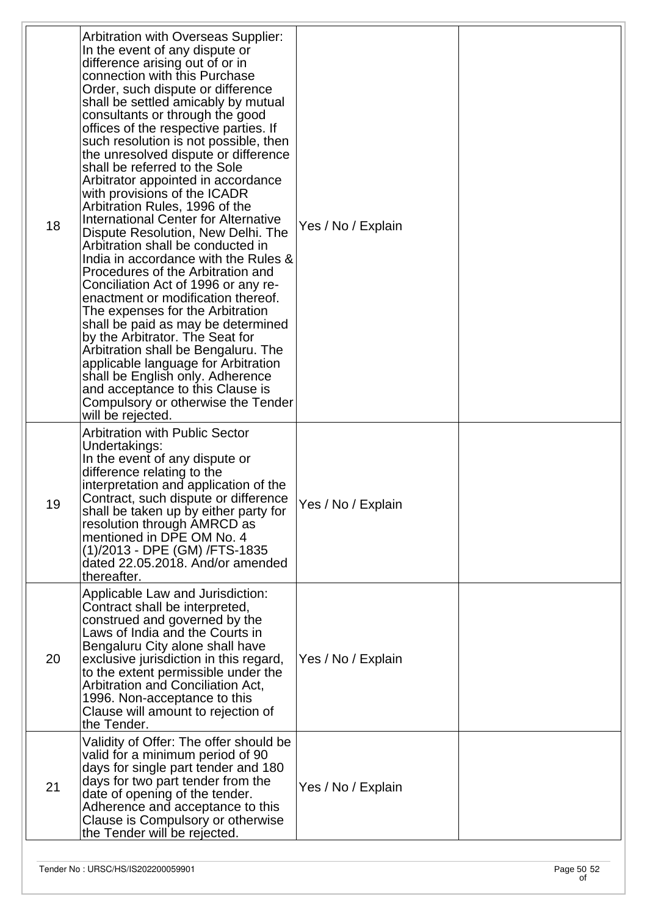| 18 | Arbitration with Overseas Supplier:<br>In the event of any dispute or<br>difference arising out of or in<br>connection with this Purchase<br>Order, such dispute or difference<br>shall be settled amicably by mutual<br>consultants or through the good<br>offices of the respective parties. If<br>such resolution is not possible, then<br>the unresolved dispute or difference<br>shall be referred to the Sole<br>Arbitrator appointed in accordance<br>with provisions of the ICADR<br>Arbitration Rules, 1996 of the<br>International Center for Alternative<br>Dispute Resolution, New Delhi. The<br>Arbitration shall be conducted in<br>India in accordance with the Rules &<br>Procedures of the Arbitration and<br>Conciliation Act of 1996 or any re-<br>enactment or modification thereof.<br>The expenses for the Arbitration<br>shall be paid as may be determined<br>by the Arbitrator. The Seat for<br>Arbitration shall be Bengaluru. The<br>applicable language for Arbitration<br>shall be English only. Adherence<br>and acceptance to this Clause is<br>Compulsory or otherwise the Tender<br>will be rejected. | Yes / No / Explain |  |
|----|----------------------------------------------------------------------------------------------------------------------------------------------------------------------------------------------------------------------------------------------------------------------------------------------------------------------------------------------------------------------------------------------------------------------------------------------------------------------------------------------------------------------------------------------------------------------------------------------------------------------------------------------------------------------------------------------------------------------------------------------------------------------------------------------------------------------------------------------------------------------------------------------------------------------------------------------------------------------------------------------------------------------------------------------------------------------------------------------------------------------------------------|--------------------|--|
| 19 | <b>Arbitration with Public Sector</b><br>Undertakings:<br>In the event of any dispute or<br>difference relating to the<br>interpretation and application of the<br>Contract, such dispute or difference<br>shall be taken up by either party for<br>resolution through AMRCD as<br>mentioned in DPE OM No. 4<br>(1)/2013 - DPE (GM) /FTS-1835<br>dated 22.05.2018. And/or amended<br>thereafter.                                                                                                                                                                                                                                                                                                                                                                                                                                                                                                                                                                                                                                                                                                                                       | Yes / No / Explain |  |
| 20 | Applicable Law and Jurisdiction:<br>Contract shall be interpreted,<br>construed and governed by the<br>Laws of India and the Courts in<br>Bengaluru City alone shall have<br>exclusive jurisdiction in this regard,<br>to the extent permissible under the<br>Arbitration and Conciliation Act,<br>1996. Non-acceptance to this<br>Clause will amount to rejection of<br>the Tender.                                                                                                                                                                                                                                                                                                                                                                                                                                                                                                                                                                                                                                                                                                                                                   | Yes / No / Explain |  |
| 21 | Validity of Offer: The offer should be<br>valid for a minimum period of 90<br>days for single part tender and 180<br>days for two part tender from the<br>date of opening of the tender.<br>Adherence and acceptance to this<br>Clause is Compulsory or otherwise<br>the Tender will be rejected.                                                                                                                                                                                                                                                                                                                                                                                                                                                                                                                                                                                                                                                                                                                                                                                                                                      | Yes / No / Explain |  |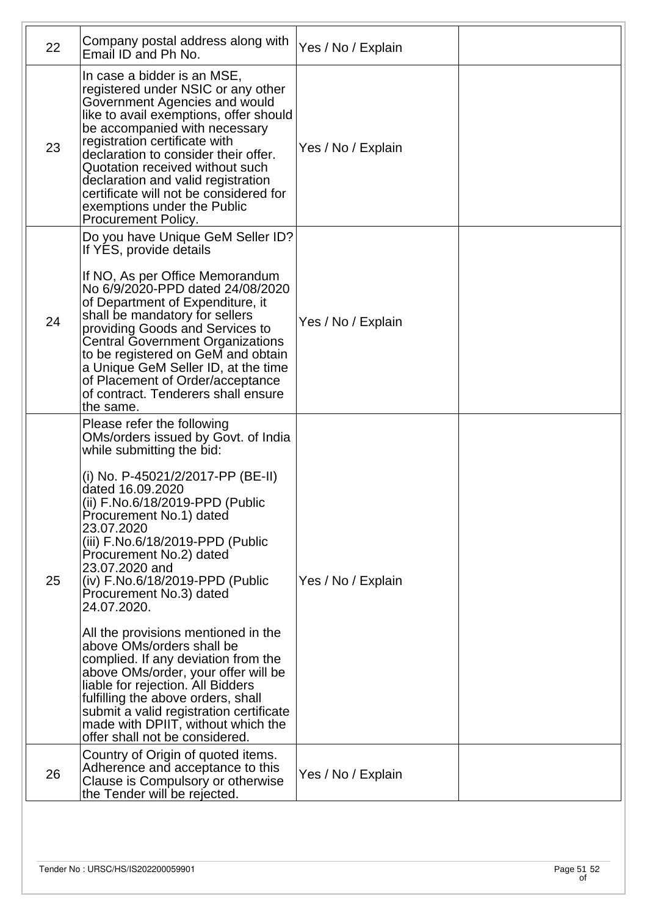| 22 | Company postal address along with<br>Email ID and Ph No.                                                                                                                                                                                                                                                                                                                                                                                                                                                                                                                                                                                                                                                                                          | Yes / No / Explain |  |
|----|---------------------------------------------------------------------------------------------------------------------------------------------------------------------------------------------------------------------------------------------------------------------------------------------------------------------------------------------------------------------------------------------------------------------------------------------------------------------------------------------------------------------------------------------------------------------------------------------------------------------------------------------------------------------------------------------------------------------------------------------------|--------------------|--|
| 23 | In case a bidder is an MSE,<br>registered under NSIC or any other<br>Government Agencies and would<br>like to avail exemptions, offer should<br>be accompanied with necessary<br>registration certificate with<br>declaration to consider their offer.<br>Quotation received without such<br>declaration and valid registration<br>certificate will not be considered for<br>exemptions under the Public<br>Procurement Policy.                                                                                                                                                                                                                                                                                                                   | Yes / No / Explain |  |
| 24 | Do you have Unique GeM Seller ID?<br>If YES, provide details<br>If NO, As per Office Memorandum<br>No 6/9/2020-PPD dated 24/08/2020<br>of Department of Expenditure, it<br>shall be mandatory for sellers<br>providing Goods and Services to<br><b>Central Government Organizations</b><br>to be registered on GeM and obtain<br>a Unique GeM Seller ID, at the time<br>of Placement of Order/acceptance<br>of contract. Tenderers shall ensure<br>the same.                                                                                                                                                                                                                                                                                      | Yes / No / Explain |  |
| 25 | Please refer the following<br>OMs/orders issued by Govt. of India<br>while submitting the bid:<br>(i) No. P-45021/2/2017-PP (BE-II)<br>dated 16.09.2020<br>(ii) F.No.6/18/2019-PPD (Public<br>Procurement No.1) dated<br>23.07.2020<br>(iii) F.No.6/18/2019-PPD (Public<br>Procurement No.2) dated<br>23.07.2020 and<br>(iv) F.No.6/18/2019-PPD (Public<br>Procurement No.3) dated<br>24.07.2020.<br>All the provisions mentioned in the<br>above OMs/orders shall be<br>complied. If any deviation from the<br>above OMs/order, your offer will be<br>liable for rejection. All Bidders<br>fulfilling the above orders, shall<br>submit a valid registration certificate<br>made with DPIIT, without which the<br>offer shall not be considered. | Yes / No / Explain |  |
| 26 | Country of Origin of quoted items.<br>Adherence and acceptance to this<br>Clause is Compulsory or otherwise<br>the Tender will be rejected.                                                                                                                                                                                                                                                                                                                                                                                                                                                                                                                                                                                                       | Yes / No / Explain |  |